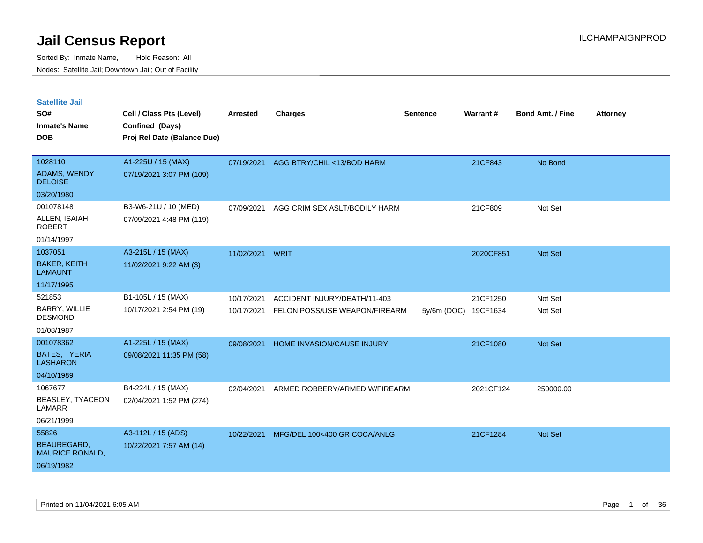| <b>Satellite Jail</b>                   |                             |                 |                               |             |           |                         |                 |
|-----------------------------------------|-----------------------------|-----------------|-------------------------------|-------------|-----------|-------------------------|-----------------|
| SO#                                     | Cell / Class Pts (Level)    | <b>Arrested</b> | <b>Charges</b>                | Sentence    | Warrant#  | <b>Bond Amt. / Fine</b> | <b>Attorney</b> |
| <b>Inmate's Name</b>                    | Confined (Days)             |                 |                               |             |           |                         |                 |
| <b>DOB</b>                              | Proj Rel Date (Balance Due) |                 |                               |             |           |                         |                 |
|                                         |                             |                 |                               |             |           |                         |                 |
| 1028110                                 | A1-225U / 15 (MAX)          | 07/19/2021      | AGG BTRY/CHIL <13/BOD HARM    |             | 21CF843   | No Bond                 |                 |
| ADAMS, WENDY<br><b>DELOISE</b>          | 07/19/2021 3:07 PM (109)    |                 |                               |             |           |                         |                 |
| 03/20/1980                              |                             |                 |                               |             |           |                         |                 |
| 001078148                               | B3-W6-21U / 10 (MED)        | 07/09/2021      | AGG CRIM SEX ASLT/BODILY HARM |             | 21CF809   | Not Set                 |                 |
| ALLEN, ISAIAH<br><b>ROBERT</b>          | 07/09/2021 4:48 PM (119)    |                 |                               |             |           |                         |                 |
| 01/14/1997                              |                             |                 |                               |             |           |                         |                 |
| 1037051                                 | A3-215L / 15 (MAX)          | 11/02/2021      | WRIT                          |             | 2020CF851 | <b>Not Set</b>          |                 |
| <b>BAKER, KEITH</b><br><b>LAMAUNT</b>   | 11/02/2021 9:22 AM (3)      |                 |                               |             |           |                         |                 |
| 11/17/1995                              |                             |                 |                               |             |           |                         |                 |
| 521853                                  | B1-105L / 15 (MAX)          | 10/17/2021      | ACCIDENT INJURY/DEATH/11-403  |             | 21CF1250  | Not Set                 |                 |
| BARRY, WILLIE<br><b>DESMOND</b>         | 10/17/2021 2:54 PM (19)     | 10/17/2021      | FELON POSS/USE WEAPON/FIREARM | 5y/6m (DOC) | 19CF1634  | Not Set                 |                 |
| 01/08/1987                              |                             |                 |                               |             |           |                         |                 |
| 001078362                               | A1-225L / 15 (MAX)          | 09/08/2021      | HOME INVASION/CAUSE INJURY    |             | 21CF1080  | Not Set                 |                 |
| <b>BATES, TYERIA</b><br><b>LASHARON</b> | 09/08/2021 11:35 PM (58)    |                 |                               |             |           |                         |                 |
| 04/10/1989                              |                             |                 |                               |             |           |                         |                 |
| 1067677                                 | B4-224L / 15 (MAX)          | 02/04/2021      | ARMED ROBBERY/ARMED W/FIREARM |             | 2021CF124 | 250000.00               |                 |
| BEASLEY, TYACEON<br>LAMARR              | 02/04/2021 1:52 PM (274)    |                 |                               |             |           |                         |                 |
| 06/21/1999                              |                             |                 |                               |             |           |                         |                 |
| 55826                                   | A3-112L / 15 (ADS)          | 10/22/2021      | MFG/DEL 100<400 GR COCA/ANLG  |             | 21CF1284  | <b>Not Set</b>          |                 |
| BEAUREGARD,<br><b>MAURICE RONALD,</b>   | 10/22/2021 7:57 AM (14)     |                 |                               |             |           |                         |                 |
| 06/19/1982                              |                             |                 |                               |             |           |                         |                 |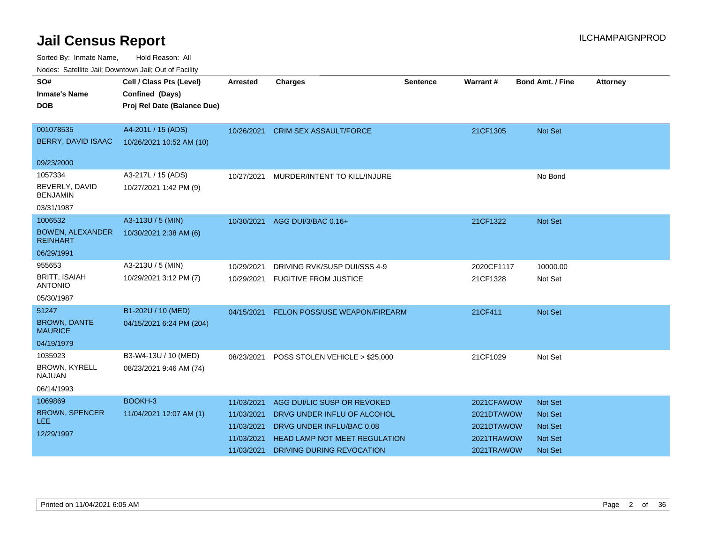| Nodes: Satellite Jali, Downtown Jali, Out of Facility |                             |                 |                                      |          |            |                         |                 |
|-------------------------------------------------------|-----------------------------|-----------------|--------------------------------------|----------|------------|-------------------------|-----------------|
| SO#                                                   | Cell / Class Pts (Level)    | <b>Arrested</b> | <b>Charges</b>                       | Sentence | Warrant#   | <b>Bond Amt. / Fine</b> | <b>Attorney</b> |
| <b>Inmate's Name</b>                                  | Confined (Days)             |                 |                                      |          |            |                         |                 |
| <b>DOB</b>                                            | Proj Rel Date (Balance Due) |                 |                                      |          |            |                         |                 |
|                                                       |                             |                 |                                      |          |            |                         |                 |
| 001078535                                             | A4-201L / 15 (ADS)          | 10/26/2021      | <b>CRIM SEX ASSAULT/FORCE</b>        |          | 21CF1305   | Not Set                 |                 |
| BERRY, DAVID ISAAC                                    | 10/26/2021 10:52 AM (10)    |                 |                                      |          |            |                         |                 |
|                                                       |                             |                 |                                      |          |            |                         |                 |
| 09/23/2000                                            |                             |                 |                                      |          |            |                         |                 |
| 1057334                                               | A3-217L / 15 (ADS)          | 10/27/2021      | MURDER/INTENT TO KILL/INJURE         |          |            | No Bond                 |                 |
| BEVERLY, DAVID<br><b>BENJAMIN</b>                     | 10/27/2021 1:42 PM (9)      |                 |                                      |          |            |                         |                 |
| 03/31/1987                                            |                             |                 |                                      |          |            |                         |                 |
| 1006532                                               | A3-113U / 5 (MIN)           | 10/30/2021      | AGG DUI/3/BAC 0.16+                  |          | 21CF1322   | <b>Not Set</b>          |                 |
| <b>BOWEN, ALEXANDER</b><br><b>REINHART</b>            | 10/30/2021 2:38 AM (6)      |                 |                                      |          |            |                         |                 |
| 06/29/1991                                            |                             |                 |                                      |          |            |                         |                 |
| 955653                                                | A3-213U / 5 (MIN)           | 10/29/2021      | DRIVING RVK/SUSP DUI/SSS 4-9         |          | 2020CF1117 | 10000.00                |                 |
| <b>BRITT, ISAIAH</b><br><b>ANTONIO</b>                | 10/29/2021 3:12 PM (7)      | 10/29/2021      | <b>FUGITIVE FROM JUSTICE</b>         |          | 21CF1328   | Not Set                 |                 |
| 05/30/1987                                            |                             |                 |                                      |          |            |                         |                 |
| 51247                                                 | B1-202U / 10 (MED)          | 04/15/2021      | FELON POSS/USE WEAPON/FIREARM        |          | 21CF411    | Not Set                 |                 |
| <b>BROWN, DANTE</b><br><b>MAURICE</b>                 | 04/15/2021 6:24 PM (204)    |                 |                                      |          |            |                         |                 |
| 04/19/1979                                            |                             |                 |                                      |          |            |                         |                 |
| 1035923                                               | B3-W4-13U / 10 (MED)        | 08/23/2021      | POSS STOLEN VEHICLE > \$25,000       |          | 21CF1029   | Not Set                 |                 |
| BROWN, KYRELL<br><b>NAJUAN</b>                        | 08/23/2021 9:46 AM (74)     |                 |                                      |          |            |                         |                 |
| 06/14/1993                                            |                             |                 |                                      |          |            |                         |                 |
| 1069869                                               | BOOKH-3                     | 11/03/2021      | AGG DUI/LIC SUSP OR REVOKED          |          | 2021CFAWOW | <b>Not Set</b>          |                 |
| <b>BROWN, SPENCER</b>                                 | 11/04/2021 12:07 AM (1)     | 11/03/2021      | DRVG UNDER INFLU OF ALCOHOL          |          | 2021DTAWOW | <b>Not Set</b>          |                 |
| LEE.                                                  |                             | 11/03/2021      | DRVG UNDER INFLU/BAC 0.08            |          | 2021DTAWOW | <b>Not Set</b>          |                 |
| 12/29/1997                                            |                             | 11/03/2021      | <b>HEAD LAMP NOT MEET REGULATION</b> |          | 2021TRAWOW | Not Set                 |                 |
|                                                       |                             | 11/03/2021      | DRIVING DURING REVOCATION            |          | 2021TRAWOW | <b>Not Set</b>          |                 |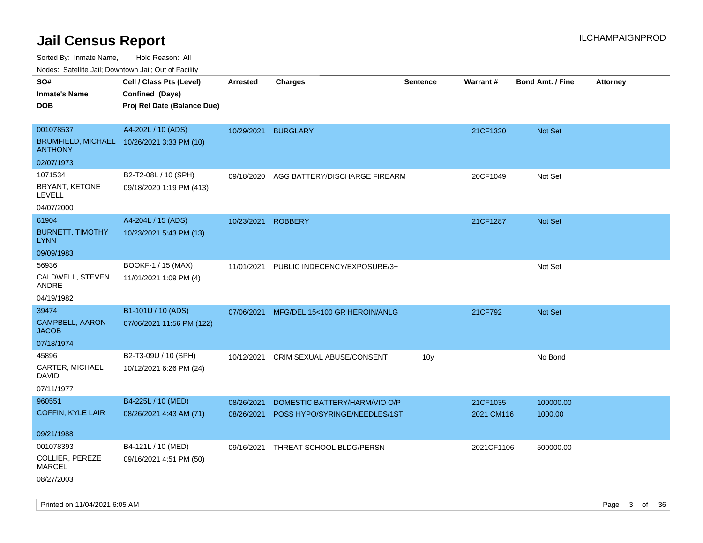Sorted By: Inmate Name, Hold Reason: All

Nodes: Satellite Jail; Downtown Jail; Out of Facility

| SO#                                                          | Cell / Class Pts (Level)    | <b>Arrested</b>     | <b>Charges</b>                | <b>Sentence</b> | Warrant#   | <b>Bond Amt. / Fine</b> | Attorney |
|--------------------------------------------------------------|-----------------------------|---------------------|-------------------------------|-----------------|------------|-------------------------|----------|
| <b>Inmate's Name</b>                                         | Confined (Days)             |                     |                               |                 |            |                         |          |
| <b>DOB</b>                                                   | Proj Rel Date (Balance Due) |                     |                               |                 |            |                         |          |
|                                                              |                             |                     |                               |                 |            |                         |          |
| 001078537                                                    | A4-202L / 10 (ADS)          | 10/29/2021 BURGLARY |                               |                 | 21CF1320   | Not Set                 |          |
| BRUMFIELD, MICHAEL 10/26/2021 3:33 PM (10)<br><b>ANTHONY</b> |                             |                     |                               |                 |            |                         |          |
| 02/07/1973                                                   |                             |                     |                               |                 |            |                         |          |
| 1071534                                                      | B2-T2-08L / 10 (SPH)        | 09/18/2020          | AGG BATTERY/DISCHARGE FIREARM |                 | 20CF1049   | Not Set                 |          |
| BRYANT, KETONE<br>LEVELL                                     | 09/18/2020 1:19 PM (413)    |                     |                               |                 |            |                         |          |
| 04/07/2000                                                   |                             |                     |                               |                 |            |                         |          |
| 61904                                                        | A4-204L / 15 (ADS)          | 10/23/2021 ROBBERY  |                               |                 | 21CF1287   | Not Set                 |          |
| <b>BURNETT, TIMOTHY</b><br><b>LYNN</b>                       | 10/23/2021 5:43 PM (13)     |                     |                               |                 |            |                         |          |
| 09/09/1983                                                   |                             |                     |                               |                 |            |                         |          |
| 56936                                                        | BOOKF-1 / 15 (MAX)          | 11/01/2021          | PUBLIC INDECENCY/EXPOSURE/3+  |                 |            | Not Set                 |          |
| CALDWELL, STEVEN<br>ANDRE                                    | 11/01/2021 1:09 PM (4)      |                     |                               |                 |            |                         |          |
| 04/19/1982                                                   |                             |                     |                               |                 |            |                         |          |
| 39474                                                        | B1-101U / 10 (ADS)          | 07/06/2021          | MFG/DEL 15<100 GR HEROIN/ANLG |                 | 21CF792    | <b>Not Set</b>          |          |
| <b>CAMPBELL, AARON</b><br><b>JACOB</b>                       | 07/06/2021 11:56 PM (122)   |                     |                               |                 |            |                         |          |
| 07/18/1974                                                   |                             |                     |                               |                 |            |                         |          |
| 45896                                                        | B2-T3-09U / 10 (SPH)        | 10/12/2021          | CRIM SEXUAL ABUSE/CONSENT     | 10 <sub>y</sub> |            | No Bond                 |          |
| CARTER, MICHAEL<br><b>DAVID</b>                              | 10/12/2021 6:26 PM (24)     |                     |                               |                 |            |                         |          |
| 07/11/1977                                                   |                             |                     |                               |                 |            |                         |          |
| 960551                                                       | B4-225L / 10 (MED)          | 08/26/2021          | DOMESTIC BATTERY/HARM/VIO O/P |                 | 21CF1035   | 100000.00               |          |
| <b>COFFIN, KYLE LAIR</b>                                     | 08/26/2021 4:43 AM (71)     | 08/26/2021          | POSS HYPO/SYRINGE/NEEDLES/1ST |                 | 2021 CM116 | 1000.00                 |          |
| 09/21/1988                                                   |                             |                     |                               |                 |            |                         |          |
| 001078393                                                    | B4-121L / 10 (MED)          | 09/16/2021          | THREAT SCHOOL BLDG/PERSN      |                 | 2021CF1106 | 500000.00               |          |
| COLLIER, PEREZE<br><b>MARCEL</b>                             | 09/16/2021 4:51 PM (50)     |                     |                               |                 |            |                         |          |
| 08/27/2003                                                   |                             |                     |                               |                 |            |                         |          |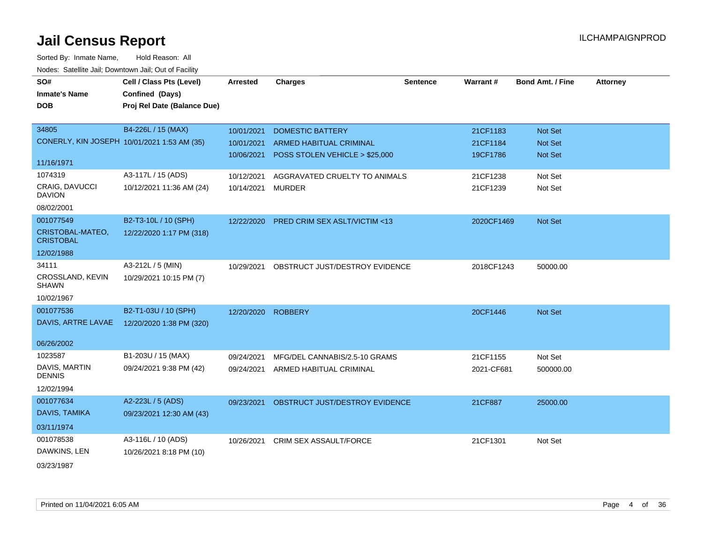| SO#                                  | Cell / Class Pts (Level)                    | <b>Arrested</b>    | <b>Charges</b>                           | <b>Sentence</b> | Warrant#   | <b>Bond Amt. / Fine</b> | <b>Attorney</b> |
|--------------------------------------|---------------------------------------------|--------------------|------------------------------------------|-----------------|------------|-------------------------|-----------------|
| <b>Inmate's Name</b>                 | Confined (Days)                             |                    |                                          |                 |            |                         |                 |
| <b>DOB</b>                           | Proj Rel Date (Balance Due)                 |                    |                                          |                 |            |                         |                 |
|                                      |                                             |                    |                                          |                 |            |                         |                 |
| 34805                                | B4-226L / 15 (MAX)                          | 10/01/2021         | <b>DOMESTIC BATTERY</b>                  |                 | 21CF1183   | Not Set                 |                 |
|                                      | CONERLY, KIN JOSEPH 10/01/2021 1:53 AM (35) | 10/01/2021         | ARMED HABITUAL CRIMINAL                  |                 | 21CF1184   | Not Set                 |                 |
|                                      |                                             | 10/06/2021         | POSS STOLEN VEHICLE > \$25,000           |                 | 19CF1786   | <b>Not Set</b>          |                 |
| 11/16/1971                           |                                             |                    |                                          |                 |            |                         |                 |
| 1074319                              | A3-117L / 15 (ADS)                          | 10/12/2021         | AGGRAVATED CRUELTY TO ANIMALS            |                 | 21CF1238   | Not Set                 |                 |
| CRAIG, DAVUCCI<br><b>DAVION</b>      | 10/12/2021 11:36 AM (24)                    | 10/14/2021         | <b>MURDER</b>                            |                 | 21CF1239   | Not Set                 |                 |
| 08/02/2001                           |                                             |                    |                                          |                 |            |                         |                 |
| 001077549                            | B2-T3-10L / 10 (SPH)                        |                    | 12/22/2020 PRED CRIM SEX ASLT/VICTIM <13 |                 | 2020CF1469 | Not Set                 |                 |
| CRISTOBAL-MATEO,<br><b>CRISTOBAL</b> | 12/22/2020 1:17 PM (318)                    |                    |                                          |                 |            |                         |                 |
| 12/02/1988                           |                                             |                    |                                          |                 |            |                         |                 |
| 34111                                | A3-212L / 5 (MIN)                           | 10/29/2021         | OBSTRUCT JUST/DESTROY EVIDENCE           |                 | 2018CF1243 | 50000.00                |                 |
| CROSSLAND, KEVIN<br><b>SHAWN</b>     | 10/29/2021 10:15 PM (7)                     |                    |                                          |                 |            |                         |                 |
| 10/02/1967                           |                                             |                    |                                          |                 |            |                         |                 |
| 001077536                            | B2-T1-03U / 10 (SPH)                        | 12/20/2020 ROBBERY |                                          |                 | 20CF1446   | Not Set                 |                 |
| DAVIS, ARTRE LAVAE                   | 12/20/2020 1:38 PM (320)                    |                    |                                          |                 |            |                         |                 |
|                                      |                                             |                    |                                          |                 |            |                         |                 |
| 06/26/2002                           |                                             |                    |                                          |                 |            |                         |                 |
| 1023587                              | B1-203U / 15 (MAX)                          | 09/24/2021         | MFG/DEL CANNABIS/2.5-10 GRAMS            |                 | 21CF1155   | Not Set                 |                 |
| DAVIS, MARTIN<br><b>DENNIS</b>       | 09/24/2021 9:38 PM (42)                     |                    | 09/24/2021 ARMED HABITUAL CRIMINAL       |                 | 2021-CF681 | 500000.00               |                 |
| 12/02/1994                           |                                             |                    |                                          |                 |            |                         |                 |
| 001077634                            | A2-223L / 5 (ADS)                           | 09/23/2021         | OBSTRUCT JUST/DESTROY EVIDENCE           |                 | 21CF887    | 25000.00                |                 |
| DAVIS, TAMIKA                        | 09/23/2021 12:30 AM (43)                    |                    |                                          |                 |            |                         |                 |
| 03/11/1974                           |                                             |                    |                                          |                 |            |                         |                 |
| 001078538                            | A3-116L / 10 (ADS)                          | 10/26/2021         | CRIM SEX ASSAULT/FORCE                   |                 | 21CF1301   | Not Set                 |                 |
| DAWKINS, LEN                         | 10/26/2021 8:18 PM (10)                     |                    |                                          |                 |            |                         |                 |
| 03/23/1987                           |                                             |                    |                                          |                 |            |                         |                 |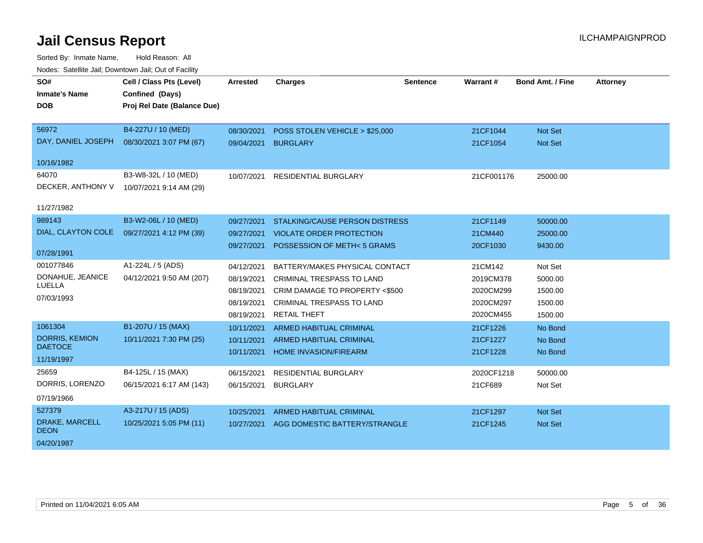| SO#                           | Cell / Class Pts (Level)    | <b>Arrested</b> | <b>Charges</b>                        | <b>Sentence</b> | Warrant#   | <b>Bond Amt. / Fine</b> | <b>Attorney</b> |
|-------------------------------|-----------------------------|-----------------|---------------------------------------|-----------------|------------|-------------------------|-----------------|
| <b>Inmate's Name</b>          | Confined (Days)             |                 |                                       |                 |            |                         |                 |
| <b>DOB</b>                    | Proj Rel Date (Balance Due) |                 |                                       |                 |            |                         |                 |
|                               |                             |                 |                                       |                 |            |                         |                 |
| 56972                         | B4-227U / 10 (MED)          | 08/30/2021      | POSS STOLEN VEHICLE > \$25,000        |                 | 21CF1044   | Not Set                 |                 |
| DAY, DANIEL JOSEPH            | 08/30/2021 3:07 PM (67)     | 09/04/2021      | <b>BURGLARY</b>                       |                 | 21CF1054   | <b>Not Set</b>          |                 |
| 10/16/1982                    |                             |                 |                                       |                 |            |                         |                 |
| 64070                         | B3-W8-32L / 10 (MED)        | 10/07/2021      | <b>RESIDENTIAL BURGLARY</b>           |                 | 21CF001176 | 25000.00                |                 |
| DECKER, ANTHONY V             | 10/07/2021 9:14 AM (29)     |                 |                                       |                 |            |                         |                 |
|                               |                             |                 |                                       |                 |            |                         |                 |
| 11/27/1982                    |                             |                 |                                       |                 |            |                         |                 |
| 989143                        | B3-W2-06L / 10 (MED)        | 09/27/2021      | <b>STALKING/CAUSE PERSON DISTRESS</b> |                 | 21CF1149   | 50000.00                |                 |
| DIAL, CLAYTON COLE            | 09/27/2021 4:12 PM (39)     | 09/27/2021      | <b>VIOLATE ORDER PROTECTION</b>       |                 | 21CM440    | 25000.00                |                 |
|                               |                             | 09/27/2021      | POSSESSION OF METH<5 GRAMS            |                 | 20CF1030   | 9430.00                 |                 |
| 07/28/1991                    |                             |                 |                                       |                 |            |                         |                 |
| 001077846                     | A1-224L / 5 (ADS)           | 04/12/2021      | BATTERY/MAKES PHYSICAL CONTACT        |                 | 21CM142    | Not Set                 |                 |
| DONAHUE, JEANICE              | 04/12/2021 9:50 AM (207)    | 08/19/2021      | <b>CRIMINAL TRESPASS TO LAND</b>      |                 | 2019CM378  | 5000.00                 |                 |
| LUELLA                        |                             | 08/19/2021      | CRIM DAMAGE TO PROPERTY <\$500        |                 | 2020CM299  | 1500.00                 |                 |
| 07/03/1993                    |                             | 08/19/2021      | <b>CRIMINAL TRESPASS TO LAND</b>      |                 | 2020CM297  | 1500.00                 |                 |
|                               |                             | 08/19/2021      | <b>RETAIL THEFT</b>                   |                 | 2020CM455  | 1500.00                 |                 |
| 1061304                       | B1-207U / 15 (MAX)          | 10/11/2021      | <b>ARMED HABITUAL CRIMINAL</b>        |                 | 21CF1226   | No Bond                 |                 |
| <b>DORRIS, KEMION</b>         | 10/11/2021 7:30 PM (25)     | 10/11/2021      | <b>ARMED HABITUAL CRIMINAL</b>        |                 | 21CF1227   | No Bond                 |                 |
| <b>DAETOCE</b>                |                             | 10/11/2021      | <b>HOME INVASION/FIREARM</b>          |                 | 21CF1228   | No Bond                 |                 |
| 11/19/1997                    |                             |                 |                                       |                 |            |                         |                 |
| 25659                         | B4-125L / 15 (MAX)          | 06/15/2021      | <b>RESIDENTIAL BURGLARY</b>           |                 | 2020CF1218 | 50000.00                |                 |
| DORRIS, LORENZO               | 06/15/2021 6:17 AM (143)    | 06/15/2021      | <b>BURGLARY</b>                       |                 | 21CF689    | Not Set                 |                 |
| 07/19/1966                    |                             |                 |                                       |                 |            |                         |                 |
| 527379                        | A3-217U / 15 (ADS)          | 10/25/2021      | <b>ARMED HABITUAL CRIMINAL</b>        |                 | 21CF1297   | <b>Not Set</b>          |                 |
| DRAKE, MARCELL<br><b>DEON</b> | 10/25/2021 5:05 PM (11)     | 10/27/2021      | AGG DOMESTIC BATTERY/STRANGLE         |                 | 21CF1245   | Not Set                 |                 |
| 04/20/1987                    |                             |                 |                                       |                 |            |                         |                 |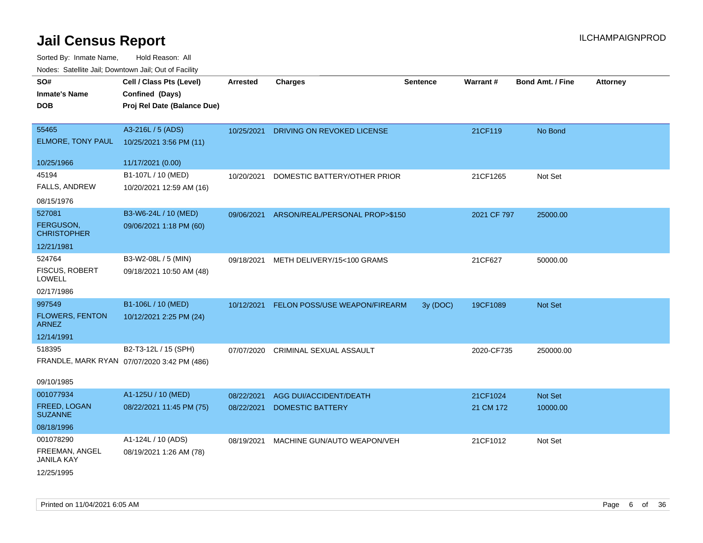| SO#<br><b>Inmate's Name</b>                      | Cell / Class Pts (Level)<br>Confined (Days)                         | <b>Arrested</b> | <b>Charges</b>                 | <b>Sentence</b> | Warrant#    | <b>Bond Amt. / Fine</b> | <b>Attorney</b> |
|--------------------------------------------------|---------------------------------------------------------------------|-----------------|--------------------------------|-----------------|-------------|-------------------------|-----------------|
| <b>DOB</b>                                       | Proj Rel Date (Balance Due)                                         |                 |                                |                 |             |                         |                 |
| 55465<br>ELMORE, TONY PAUL                       | A3-216L / 5 (ADS)<br>10/25/2021 3:56 PM (11)                        | 10/25/2021      | DRIVING ON REVOKED LICENSE     |                 | 21CF119     | No Bond                 |                 |
| 10/25/1966                                       | 11/17/2021 (0.00)                                                   |                 |                                |                 |             |                         |                 |
| 45194<br><b>FALLS, ANDREW</b>                    | B1-107L / 10 (MED)<br>10/20/2021 12:59 AM (16)                      | 10/20/2021      | DOMESTIC BATTERY/OTHER PRIOR   |                 | 21CF1265    | Not Set                 |                 |
| 08/15/1976                                       |                                                                     |                 |                                |                 |             |                         |                 |
| 527081<br><b>FERGUSON,</b><br><b>CHRISTOPHER</b> | B3-W6-24L / 10 (MED)<br>09/06/2021 1:18 PM (60)                     | 09/06/2021      | ARSON/REAL/PERSONAL PROP>\$150 |                 | 2021 CF 797 | 25000.00                |                 |
| 12/21/1981                                       |                                                                     |                 |                                |                 |             |                         |                 |
| 524764<br><b>FISCUS, ROBERT</b><br><b>LOWELL</b> | B3-W2-08L / 5 (MIN)<br>09/18/2021 10:50 AM (48)                     | 09/18/2021      | METH DELIVERY/15<100 GRAMS     |                 | 21CF627     | 50000.00                |                 |
| 02/17/1986                                       |                                                                     |                 |                                |                 |             |                         |                 |
| 997549<br><b>FLOWERS, FENTON</b><br><b>ARNEZ</b> | B1-106L / 10 (MED)<br>10/12/2021 2:25 PM (24)                       | 10/12/2021      | FELON POSS/USE WEAPON/FIREARM  | 3y (DOC)        | 19CF1089    | Not Set                 |                 |
| 12/14/1991                                       |                                                                     |                 |                                |                 |             |                         |                 |
| 518395<br>09/10/1985                             | B2-T3-12L / 15 (SPH)<br>FRANDLE, MARK RYAN 07/07/2020 3:42 PM (486) | 07/07/2020      | CRIMINAL SEXUAL ASSAULT        |                 | 2020-CF735  | 250000.00               |                 |
| 001077934                                        | A1-125U / 10 (MED)                                                  | 08/22/2021      | AGG DUI/ACCIDENT/DEATH         |                 | 21CF1024    | Not Set                 |                 |
| FREED, LOGAN<br><b>SUZANNE</b>                   | 08/22/2021 11:45 PM (75)                                            | 08/22/2021      | DOMESTIC BATTERY               |                 | 21 CM 172   | 10000.00                |                 |
| 08/18/1996                                       |                                                                     |                 |                                |                 |             |                         |                 |
| 001078290                                        | A1-124L / 10 (ADS)                                                  | 08/19/2021      | MACHINE GUN/AUTO WEAPON/VEH    |                 | 21CF1012    | Not Set                 |                 |
| FREEMAN, ANGEL<br><b>JANILA KAY</b>              | 08/19/2021 1:26 AM (78)                                             |                 |                                |                 |             |                         |                 |
| 12/25/1995                                       |                                                                     |                 |                                |                 |             |                         |                 |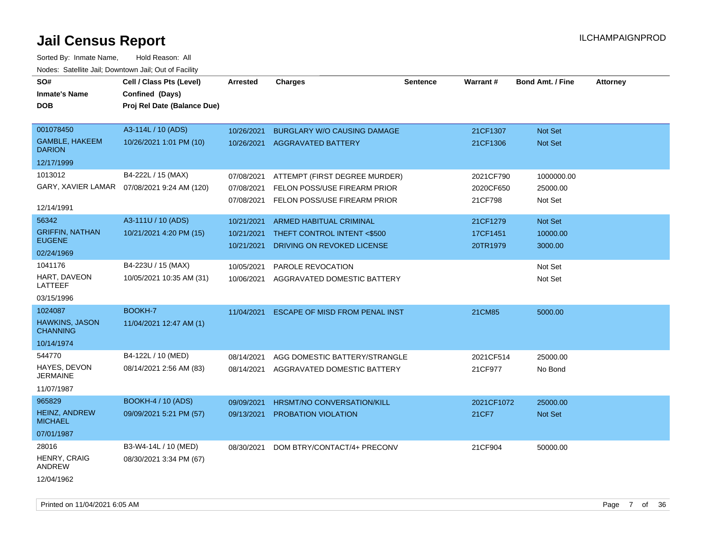| SO#<br><b>Inmate's Name</b>              | Cell / Class Pts (Level)<br>Confined (Days)  | <b>Arrested</b> | <b>Charges</b>                        | <b>Sentence</b> | Warrant#   | <b>Bond Amt. / Fine</b> | <b>Attorney</b> |
|------------------------------------------|----------------------------------------------|-----------------|---------------------------------------|-----------------|------------|-------------------------|-----------------|
| <b>DOB</b>                               | Proj Rel Date (Balance Due)                  |                 |                                       |                 |            |                         |                 |
| 001078450                                | A3-114L / 10 (ADS)                           | 10/26/2021      | <b>BURGLARY W/O CAUSING DAMAGE</b>    |                 | 21CF1307   | Not Set                 |                 |
| <b>GAMBLE, HAKEEM</b><br><b>DARION</b>   | 10/26/2021 1:01 PM (10)                      |                 | 10/26/2021 AGGRAVATED BATTERY         |                 | 21CF1306   | Not Set                 |                 |
| 12/17/1999                               |                                              |                 |                                       |                 |            |                         |                 |
| 1013012                                  | B4-222L / 15 (MAX)                           | 07/08/2021      | ATTEMPT (FIRST DEGREE MURDER)         |                 | 2021CF790  | 1000000.00              |                 |
|                                          | GARY, XAVIER LAMAR  07/08/2021 9:24 AM (120) | 07/08/2021      | FELON POSS/USE FIREARM PRIOR          |                 | 2020CF650  | 25000.00                |                 |
| 12/14/1991                               |                                              | 07/08/2021      | FELON POSS/USE FIREARM PRIOR          |                 | 21CF798    | Not Set                 |                 |
| 56342                                    | A3-111U / 10 (ADS)                           | 10/21/2021      | ARMED HABITUAL CRIMINAL               |                 | 21CF1279   | Not Set                 |                 |
| <b>GRIFFIN, NATHAN</b>                   | 10/21/2021 4:20 PM (15)                      | 10/21/2021      | THEFT CONTROL INTENT <\$500           |                 | 17CF1451   | 10000.00                |                 |
| <b>EUGENE</b>                            |                                              | 10/21/2021      | DRIVING ON REVOKED LICENSE            |                 | 20TR1979   | 3000.00                 |                 |
| 02/24/1969                               |                                              |                 |                                       |                 |            |                         |                 |
| 1041176                                  | B4-223U / 15 (MAX)                           | 10/05/2021      | PAROLE REVOCATION                     |                 |            | Not Set                 |                 |
| HART, DAVEON<br>LATTEEF                  | 10/05/2021 10:35 AM (31)                     | 10/06/2021      | AGGRAVATED DOMESTIC BATTERY           |                 |            | Not Set                 |                 |
| 03/15/1996                               |                                              |                 |                                       |                 |            |                         |                 |
| 1024087                                  | BOOKH-7                                      | 11/04/2021      | <b>ESCAPE OF MISD FROM PENAL INST</b> |                 | 21CM85     | 5000.00                 |                 |
| <b>HAWKINS, JASON</b><br><b>CHANNING</b> | 11/04/2021 12:47 AM (1)                      |                 |                                       |                 |            |                         |                 |
| 10/14/1974                               |                                              |                 |                                       |                 |            |                         |                 |
| 544770                                   | B4-122L / 10 (MED)                           | 08/14/2021      | AGG DOMESTIC BATTERY/STRANGLE         |                 | 2021CF514  | 25000.00                |                 |
| HAYES, DEVON<br><b>JERMAINE</b>          | 08/14/2021 2:56 AM (83)                      | 08/14/2021      | AGGRAVATED DOMESTIC BATTERY           |                 | 21CF977    | No Bond                 |                 |
| 11/07/1987                               |                                              |                 |                                       |                 |            |                         |                 |
| 965829                                   | <b>BOOKH-4 / 10 (ADS)</b>                    | 09/09/2021      | <b>HRSMT/NO CONVERSATION/KILL</b>     |                 | 2021CF1072 | 25000.00                |                 |
| <b>HEINZ, ANDREW</b><br><b>MICHAEL</b>   | 09/09/2021 5:21 PM (57)                      | 09/13/2021      | <b>PROBATION VIOLATION</b>            |                 | 21CF7      | Not Set                 |                 |
| 07/01/1987                               |                                              |                 |                                       |                 |            |                         |                 |
| 28016                                    | B3-W4-14L / 10 (MED)                         | 08/30/2021      | DOM BTRY/CONTACT/4+ PRECONV           |                 | 21CF904    | 50000.00                |                 |
| <b>HENRY, CRAIG</b><br><b>ANDREW</b>     | 08/30/2021 3:34 PM (67)                      |                 |                                       |                 |            |                         |                 |
| 12/04/1962                               |                                              |                 |                                       |                 |            |                         |                 |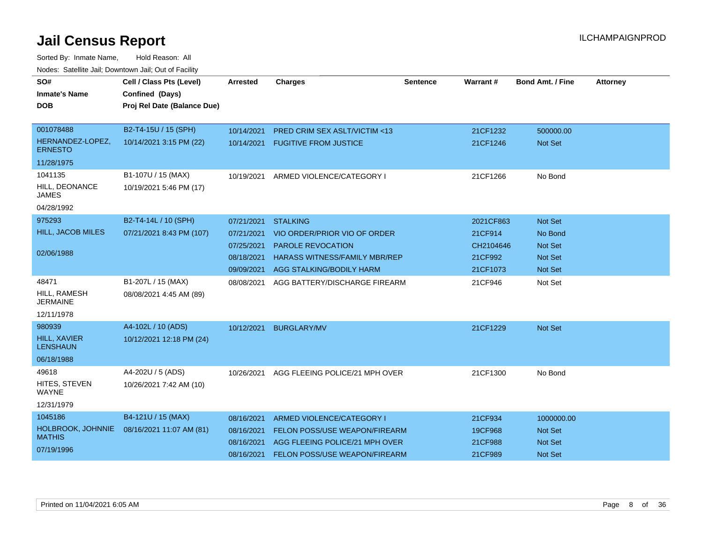| SO#<br><b>Inmate's Name</b>        | Cell / Class Pts (Level)<br>Confined (Days) | <b>Arrested</b> | <b>Charges</b>                          | <b>Sentence</b> | <b>Warrant#</b> | <b>Bond Amt. / Fine</b> | <b>Attorney</b> |
|------------------------------------|---------------------------------------------|-----------------|-----------------------------------------|-----------------|-----------------|-------------------------|-----------------|
| <b>DOB</b>                         | Proj Rel Date (Balance Due)                 |                 |                                         |                 |                 |                         |                 |
| 001078488                          | B2-T4-15U / 15 (SPH)                        | 10/14/2021      | <b>PRED CRIM SEX ASLT/VICTIM &lt;13</b> |                 | 21CF1232        | 500000.00               |                 |
| HERNANDEZ-LOPEZ,<br><b>ERNESTO</b> | 10/14/2021 3:15 PM (22)                     | 10/14/2021      | <b>FUGITIVE FROM JUSTICE</b>            |                 | 21CF1246        | <b>Not Set</b>          |                 |
| 11/28/1975                         |                                             |                 |                                         |                 |                 |                         |                 |
| 1041135                            | B1-107U / 15 (MAX)                          | 10/19/2021      | ARMED VIOLENCE/CATEGORY I               |                 | 21CF1266        | No Bond                 |                 |
| HILL, DEONANCE<br><b>JAMES</b>     | 10/19/2021 5:46 PM (17)                     |                 |                                         |                 |                 |                         |                 |
| 04/28/1992                         |                                             |                 |                                         |                 |                 |                         |                 |
| 975293                             | B2-T4-14L / 10 (SPH)                        | 07/21/2021      | <b>STALKING</b>                         |                 | 2021CF863       | Not Set                 |                 |
| <b>HILL, JACOB MILES</b>           | 07/21/2021 8:43 PM (107)                    | 07/21/2021      | VIO ORDER/PRIOR VIO OF ORDER            |                 | 21CF914         | No Bond                 |                 |
|                                    |                                             | 07/25/2021      | <b>PAROLE REVOCATION</b>                |                 | CH2104646       | <b>Not Set</b>          |                 |
| 02/06/1988                         |                                             | 08/18/2021      | <b>HARASS WITNESS/FAMILY MBR/REP</b>    |                 | 21CF992         | <b>Not Set</b>          |                 |
|                                    |                                             | 09/09/2021      | AGG STALKING/BODILY HARM                |                 | 21CF1073        | Not Set                 |                 |
| 48471                              | B1-207L / 15 (MAX)                          | 08/08/2021      | AGG BATTERY/DISCHARGE FIREARM           |                 | 21CF946         | Not Set                 |                 |
| HILL, RAMESH<br>JERMAINE           | 08/08/2021 4:45 AM (89)                     |                 |                                         |                 |                 |                         |                 |
| 12/11/1978                         |                                             |                 |                                         |                 |                 |                         |                 |
| 980939                             | A4-102L / 10 (ADS)                          | 10/12/2021      | <b>BURGLARY/MV</b>                      |                 | 21CF1229        | Not Set                 |                 |
| HILL, XAVIER<br><b>LENSHAUN</b>    | 10/12/2021 12:18 PM (24)                    |                 |                                         |                 |                 |                         |                 |
| 06/18/1988                         |                                             |                 |                                         |                 |                 |                         |                 |
| 49618                              | A4-202U / 5 (ADS)                           | 10/26/2021      | AGG FLEEING POLICE/21 MPH OVER          |                 | 21CF1300        | No Bond                 |                 |
| HITES, STEVEN<br>WAYNE             | 10/26/2021 7:42 AM (10)                     |                 |                                         |                 |                 |                         |                 |
| 12/31/1979                         |                                             |                 |                                         |                 |                 |                         |                 |
| 1045186                            | B4-121U / 15 (MAX)                          | 08/16/2021      | ARMED VIOLENCE/CATEGORY I               |                 | 21CF934         | 1000000.00              |                 |
| HOLBROOK, JOHNNIE                  | 08/16/2021 11:07 AM (81)                    | 08/16/2021      | <b>FELON POSS/USE WEAPON/FIREARM</b>    |                 | 19CF968         | <b>Not Set</b>          |                 |
| <b>MATHIS</b>                      |                                             | 08/16/2021      | AGG FLEEING POLICE/21 MPH OVER          |                 | 21CF988         | Not Set                 |                 |
| 07/19/1996                         |                                             | 08/16/2021      | FELON POSS/USE WEAPON/FIREARM           |                 | 21CF989         | <b>Not Set</b>          |                 |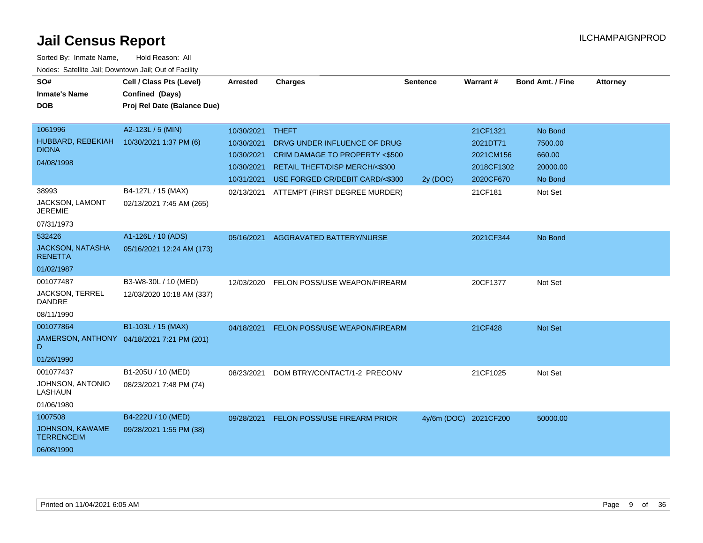| SO#<br><b>Inmate's Name</b><br><b>DOB</b>                            | Cell / Class Pts (Level)<br>Confined (Days)<br>Proj Rel Date (Balance Due) | Arrested                                                           | <b>Charges</b>                                                                                                                                      | <b>Sentence</b> | <b>Warrant#</b>                                              | <b>Bond Amt. / Fine</b>                             | <b>Attorney</b> |
|----------------------------------------------------------------------|----------------------------------------------------------------------------|--------------------------------------------------------------------|-----------------------------------------------------------------------------------------------------------------------------------------------------|-----------------|--------------------------------------------------------------|-----------------------------------------------------|-----------------|
| 1061996<br>HUBBARD, REBEKIAH<br><b>DIONA</b><br>04/08/1998           | A2-123L / 5 (MIN)<br>10/30/2021 1:37 PM (6)                                | 10/30/2021<br>10/30/2021<br>10/30/2021<br>10/30/2021<br>10/31/2021 | <b>THEFT</b><br>DRVG UNDER INFLUENCE OF DRUG<br>CRIM DAMAGE TO PROPERTY <\$500<br>RETAIL THEFT/DISP MERCH/<\$300<br>USE FORGED CR/DEBIT CARD/<\$300 | 2y (DOC)        | 21CF1321<br>2021DT71<br>2021CM156<br>2018CF1302<br>2020CF670 | No Bond<br>7500.00<br>660.00<br>20000.00<br>No Bond |                 |
| 38993<br><b>JACKSON, LAMONT</b><br><b>JEREMIE</b><br>07/31/1973      | B4-127L / 15 (MAX)<br>02/13/2021 7:45 AM (265)                             | 02/13/2021                                                         | ATTEMPT (FIRST DEGREE MURDER)                                                                                                                       |                 | 21CF181                                                      | Not Set                                             |                 |
| 532426<br>JACKSON, NATASHA<br><b>RENETTA</b><br>01/02/1987           | A1-126L / 10 (ADS)<br>05/16/2021 12:24 AM (173)                            | 05/16/2021                                                         | AGGRAVATED BATTERY/NURSE                                                                                                                            |                 | 2021CF344                                                    | No Bond                                             |                 |
| 001077487<br>JACKSON, TERREL<br><b>DANDRE</b><br>08/11/1990          | B3-W8-30L / 10 (MED)<br>12/03/2020 10:18 AM (337)                          | 12/03/2020                                                         | FELON POSS/USE WEAPON/FIREARM                                                                                                                       |                 | 20CF1377                                                     | Not Set                                             |                 |
| 001077864<br>D<br>01/26/1990                                         | B1-103L / 15 (MAX)<br>JAMERSON, ANTHONY 04/18/2021 7:21 PM (201)           | 04/18/2021                                                         | FELON POSS/USE WEAPON/FIREARM                                                                                                                       |                 | 21CF428                                                      | Not Set                                             |                 |
| 001077437<br>JOHNSON, ANTONIO<br><b>LASHAUN</b><br>01/06/1980        | B1-205U / 10 (MED)<br>08/23/2021 7:48 PM (74)                              | 08/23/2021                                                         | DOM BTRY/CONTACT/1-2 PRECONV                                                                                                                        |                 | 21CF1025                                                     | Not Set                                             |                 |
| 1007508<br><b>JOHNSON, KAWAME</b><br><b>TERRENCEIM</b><br>06/08/1990 | B4-222U / 10 (MED)<br>09/28/2021 1:55 PM (38)                              | 09/28/2021                                                         | <b>FELON POSS/USE FIREARM PRIOR</b>                                                                                                                 |                 | 4y/6m (DOC) 2021CF200                                        | 50000.00                                            |                 |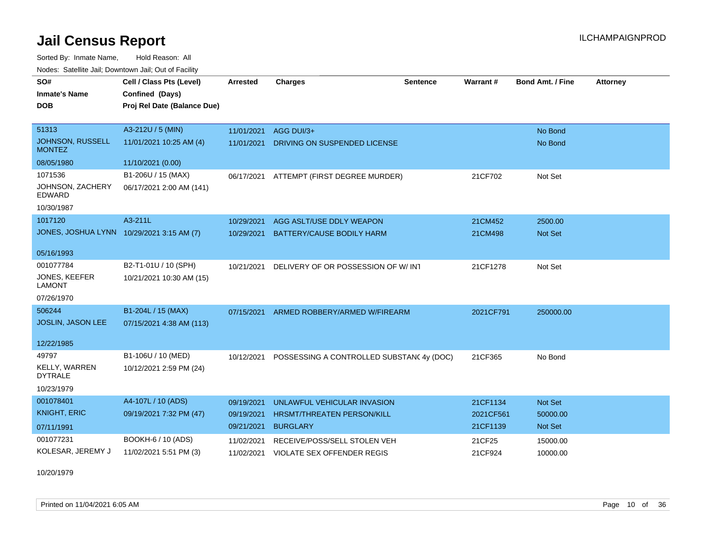Sorted By: Inmate Name, Hold Reason: All Nodes: Satellite Jail; Downtown Jail; Out of Facility

| roucs. Oatchite sail, Downtown sail, Out of Facility |                             |                 |                                          |                 |           |                  |                 |
|------------------------------------------------------|-----------------------------|-----------------|------------------------------------------|-----------------|-----------|------------------|-----------------|
| SO#                                                  | Cell / Class Pts (Level)    | <b>Arrested</b> | <b>Charges</b>                           | <b>Sentence</b> | Warrant#  | Bond Amt. / Fine | <b>Attorney</b> |
| <b>Inmate's Name</b>                                 | Confined (Days)             |                 |                                          |                 |           |                  |                 |
| <b>DOB</b>                                           | Proj Rel Date (Balance Due) |                 |                                          |                 |           |                  |                 |
|                                                      |                             |                 |                                          |                 |           |                  |                 |
| 51313                                                | A3-212U / 5 (MIN)           | 11/01/2021      | AGG DUI/3+                               |                 |           | No Bond          |                 |
| JOHNSON, RUSSELL<br><b>MONTEZ</b>                    | 11/01/2021 10:25 AM (4)     | 11/01/2021      | DRIVING ON SUSPENDED LICENSE             |                 |           | No Bond          |                 |
| 08/05/1980                                           | 11/10/2021 (0.00)           |                 |                                          |                 |           |                  |                 |
| 1071536                                              | B1-206U / 15 (MAX)          | 06/17/2021      | ATTEMPT (FIRST DEGREE MURDER)            |                 | 21CF702   | Not Set          |                 |
| JOHNSON, ZACHERY<br>EDWARD                           | 06/17/2021 2:00 AM (141)    |                 |                                          |                 |           |                  |                 |
| 10/30/1987                                           |                             |                 |                                          |                 |           |                  |                 |
| 1017120                                              | A3-211L                     | 10/29/2021      | AGG ASLT/USE DDLY WEAPON                 |                 | 21CM452   | 2500.00          |                 |
| JONES, JOSHUA LYNN 10/29/2021 3:15 AM (7)            |                             | 10/29/2021      | <b>BATTERY/CAUSE BODILY HARM</b>         |                 | 21CM498   | Not Set          |                 |
|                                                      |                             |                 |                                          |                 |           |                  |                 |
| 05/16/1993                                           |                             |                 |                                          |                 |           |                  |                 |
| 001077784                                            | B2-T1-01U / 10 (SPH)        | 10/21/2021      | DELIVERY OF OR POSSESSION OF W/INT       |                 | 21CF1278  | Not Set          |                 |
| <b>JONES, KEEFER</b><br><b>LAMONT</b>                | 10/21/2021 10:30 AM (15)    |                 |                                          |                 |           |                  |                 |
| 07/26/1970                                           |                             |                 |                                          |                 |           |                  |                 |
| 506244                                               | B1-204L / 15 (MAX)          | 07/15/2021      | ARMED ROBBERY/ARMED W/FIREARM            |                 | 2021CF791 | 250000.00        |                 |
| JOSLIN, JASON LEE                                    | 07/15/2021 4:38 AM (113)    |                 |                                          |                 |           |                  |                 |
|                                                      |                             |                 |                                          |                 |           |                  |                 |
| 12/22/1985                                           |                             |                 |                                          |                 |           |                  |                 |
| 49797                                                | B1-106U / 10 (MED)          | 10/12/2021      | POSSESSING A CONTROLLED SUBSTAN(4y (DOC) |                 | 21CF365   | No Bond          |                 |
| <b>KELLY, WARREN</b><br><b>DYTRALE</b>               | 10/12/2021 2:59 PM (24)     |                 |                                          |                 |           |                  |                 |
| 10/23/1979                                           |                             |                 |                                          |                 |           |                  |                 |
| 001078401                                            | A4-107L / 10 (ADS)          | 09/19/2021      | UNLAWFUL VEHICULAR INVASION              |                 | 21CF1134  | Not Set          |                 |
| <b>KNIGHT, ERIC</b>                                  | 09/19/2021 7:32 PM (47)     | 09/19/2021      | HRSMT/THREATEN PERSON/KILL               |                 | 2021CF561 | 50000.00         |                 |
| 07/11/1991                                           |                             | 09/21/2021      | <b>BURGLARY</b>                          |                 | 21CF1139  | <b>Not Set</b>   |                 |
| 001077231                                            | BOOKH-6 / 10 (ADS)          | 11/02/2021      | RECEIVE/POSS/SELL STOLEN VEH             |                 | 21CF25    | 15000.00         |                 |
| KOLESAR, JEREMY J                                    | 11/02/2021 5:51 PM (3)      | 11/02/2021      | <b>VIOLATE SEX OFFENDER REGIS</b>        |                 | 21CF924   | 10000.00         |                 |
|                                                      |                             |                 |                                          |                 |           |                  |                 |

10/20/1979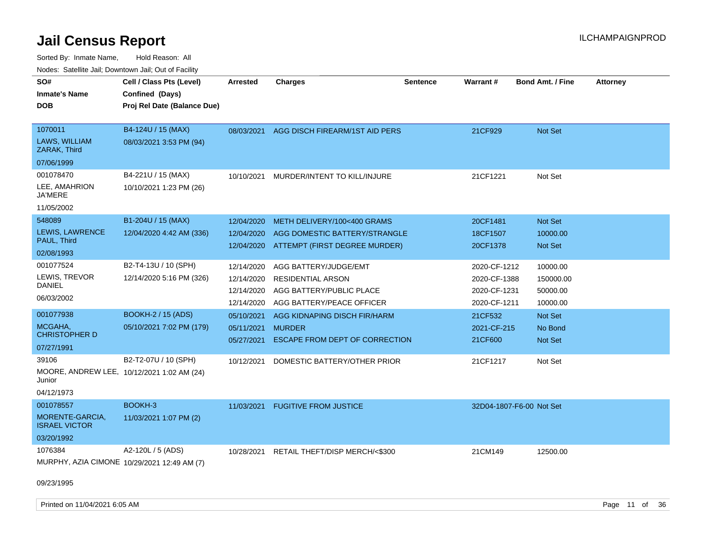Sorted By: Inmate Name, Hold Reason: All Nodes: Satellite Jail; Downtown Jail; Out of Facility

| roaco. Calcinio dan, Downtown dan, Cal or Fability |                                             |            |                                |                 |                          |                         |                 |
|----------------------------------------------------|---------------------------------------------|------------|--------------------------------|-----------------|--------------------------|-------------------------|-----------------|
| SO#                                                | Cell / Class Pts (Level)                    | Arrested   | Charges                        | <b>Sentence</b> | <b>Warrant#</b>          | <b>Bond Amt. / Fine</b> | <b>Attorney</b> |
| Inmate's Name                                      | Confined (Days)                             |            |                                |                 |                          |                         |                 |
| <b>DOB</b>                                         | Proj Rel Date (Balance Due)                 |            |                                |                 |                          |                         |                 |
|                                                    |                                             |            |                                |                 |                          |                         |                 |
| 1070011                                            | B4-124U / 15 (MAX)                          | 08/03/2021 | AGG DISCH FIREARM/1ST AID PERS |                 | 21CF929                  | <b>Not Set</b>          |                 |
| <b>LAWS, WILLIAM</b><br>ZARAK, Third               | 08/03/2021 3:53 PM (94)                     |            |                                |                 |                          |                         |                 |
| 07/06/1999                                         |                                             |            |                                |                 |                          |                         |                 |
| 001078470                                          | B4-221U / 15 (MAX)                          | 10/10/2021 | MURDER/INTENT TO KILL/INJURE   |                 | 21CF1221                 | Not Set                 |                 |
| LEE, AMAHRION<br>JA'MERE                           | 10/10/2021 1:23 PM (26)                     |            |                                |                 |                          |                         |                 |
| 11/05/2002                                         |                                             |            |                                |                 |                          |                         |                 |
| 548089                                             | B1-204U / 15 (MAX)                          | 12/04/2020 | METH DELIVERY/100<400 GRAMS    |                 | 20CF1481                 | <b>Not Set</b>          |                 |
| <b>LEWIS, LAWRENCE</b>                             | 12/04/2020 4:42 AM (336)                    | 12/04/2020 | AGG DOMESTIC BATTERY/STRANGLE  |                 | 18CF1507                 | 10000.00                |                 |
| PAUL, Third                                        |                                             | 12/04/2020 | ATTEMPT (FIRST DEGREE MURDER)  |                 | 20CF1378                 | <b>Not Set</b>          |                 |
| 02/08/1993                                         |                                             |            |                                |                 |                          |                         |                 |
| 001077524                                          | B2-T4-13U / 10 (SPH)                        | 12/14/2020 | AGG BATTERY/JUDGE/EMT          |                 | 2020-CF-1212             | 10000.00                |                 |
| LEWIS, TREVOR                                      | 12/14/2020 5:16 PM (326)                    | 12/14/2020 | <b>RESIDENTIAL ARSON</b>       |                 | 2020-CF-1388             | 150000.00               |                 |
| DANIEL                                             |                                             | 12/14/2020 | AGG BATTERY/PUBLIC PLACE       |                 | 2020-CF-1231             | 50000.00                |                 |
| 06/03/2002                                         |                                             | 12/14/2020 | AGG BATTERY/PEACE OFFICER      |                 | 2020-CF-1211             | 10000.00                |                 |
| 001077938                                          | <b>BOOKH-2 / 15 (ADS)</b>                   | 05/10/2021 | AGG KIDNAPING DISCH FIR/HARM   |                 | 21CF532                  | <b>Not Set</b>          |                 |
| MCGAHA,                                            | 05/10/2021 7:02 PM (179)                    | 05/11/2021 | <b>MURDER</b>                  |                 | 2021-CF-215              | No Bond                 |                 |
| <b>CHRISTOPHER D</b>                               |                                             | 05/27/2021 | ESCAPE FROM DEPT OF CORRECTION |                 | 21CF600                  | Not Set                 |                 |
| 07/27/1991                                         |                                             |            |                                |                 |                          |                         |                 |
| 39106                                              | B2-T2-07U / 10 (SPH)                        | 10/12/2021 | DOMESTIC BATTERY/OTHER PRIOR   |                 | 21CF1217                 | Not Set                 |                 |
| Junior                                             | MOORE, ANDREW LEE, 10/12/2021 1:02 AM (24)  |            |                                |                 |                          |                         |                 |
| 04/12/1973                                         |                                             |            |                                |                 |                          |                         |                 |
| 001078557                                          | BOOKH-3                                     | 11/03/2021 | <b>FUGITIVE FROM JUSTICE</b>   |                 | 32D04-1807-F6-00 Not Set |                         |                 |
| MORENTE-GARCIA,<br><b>ISRAEL VICTOR</b>            | 11/03/2021 1:07 PM (2)                      |            |                                |                 |                          |                         |                 |
| 03/20/1992                                         |                                             |            |                                |                 |                          |                         |                 |
| 1076384                                            | A2-120L / 5 (ADS)                           | 10/28/2021 | RETAIL THEFT/DISP MERCH/<\$300 |                 | 21CM149                  | 12500.00                |                 |
|                                                    | MURPHY, AZIA CIMONE 10/29/2021 12:49 AM (7) |            |                                |                 |                          |                         |                 |
| 09/23/1995                                         |                                             |            |                                |                 |                          |                         |                 |

Printed on 11/04/2021 6:05 AM **Page 11** of 36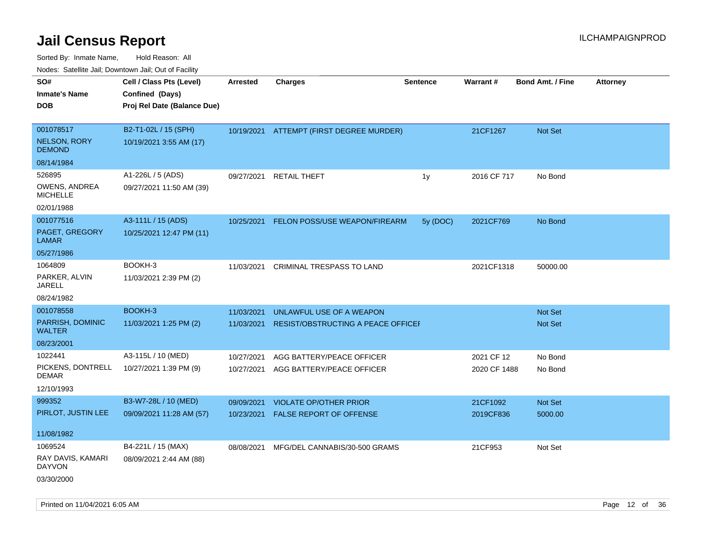| 10000. Catolino can, Domntonn can, Oat or I domt |                             |                 |                                          |                 |              |                         |                 |
|--------------------------------------------------|-----------------------------|-----------------|------------------------------------------|-----------------|--------------|-------------------------|-----------------|
| SO#                                              | Cell / Class Pts (Level)    | <b>Arrested</b> | <b>Charges</b>                           | <b>Sentence</b> | Warrant#     | <b>Bond Amt. / Fine</b> | <b>Attorney</b> |
| Inmate's Name                                    | Confined (Days)             |                 |                                          |                 |              |                         |                 |
| DOB                                              | Proj Rel Date (Balance Due) |                 |                                          |                 |              |                         |                 |
| 001078517                                        | B2-T1-02L / 15 (SPH)        |                 | 10/19/2021 ATTEMPT (FIRST DEGREE MURDER) |                 | 21CF1267     | <b>Not Set</b>          |                 |
| <b>NELSON, RORY</b><br><b>DEMOND</b>             | 10/19/2021 3:55 AM (17)     |                 |                                          |                 |              |                         |                 |
| 08/14/1984                                       |                             |                 |                                          |                 |              |                         |                 |
| 526895                                           | A1-226L / 5 (ADS)           | 09/27/2021      | <b>RETAIL THEFT</b>                      | 1y              | 2016 CF 717  | No Bond                 |                 |
| OWENS, ANDREA<br><b>MICHELLE</b>                 | 09/27/2021 11:50 AM (39)    |                 |                                          |                 |              |                         |                 |
| 02/01/1988                                       |                             |                 |                                          |                 |              |                         |                 |
| 001077516                                        | A3-111L / 15 (ADS)          | 10/25/2021      | FELON POSS/USE WEAPON/FIREARM            | 5y (DOC)        | 2021CF769    | No Bond                 |                 |
| PAGET, GREGORY<br>LAMAR                          | 10/25/2021 12:47 PM (11)    |                 |                                          |                 |              |                         |                 |
| 05/27/1986                                       |                             |                 |                                          |                 |              |                         |                 |
| 1064809                                          | BOOKH-3                     | 11/03/2021      | CRIMINAL TRESPASS TO LAND                |                 | 2021CF1318   | 50000.00                |                 |
| PARKER, ALVIN<br>JARELL                          | 11/03/2021 2:39 PM (2)      |                 |                                          |                 |              |                         |                 |
| 08/24/1982                                       |                             |                 |                                          |                 |              |                         |                 |
| 001078558                                        | BOOKH-3                     | 11/03/2021      | UNLAWFUL USE OF A WEAPON                 |                 |              | <b>Not Set</b>          |                 |
| PARRISH, DOMINIC<br>WALTER                       | 11/03/2021 1:25 PM (2)      | 11/03/2021      | RESIST/OBSTRUCTING A PEACE OFFICEF       |                 |              | Not Set                 |                 |
| 08/23/2001                                       |                             |                 |                                          |                 |              |                         |                 |
| 1022441                                          | A3-115L / 10 (MED)          | 10/27/2021      | AGG BATTERY/PEACE OFFICER                |                 | 2021 CF 12   | No Bond                 |                 |
| PICKENS, DONTRELL<br>DEMAR                       | 10/27/2021 1:39 PM (9)      | 10/27/2021      | AGG BATTERY/PEACE OFFICER                |                 | 2020 CF 1488 | No Bond                 |                 |
| 12/10/1993                                       |                             |                 |                                          |                 |              |                         |                 |
| 999352                                           | B3-W7-28L / 10 (MED)        | 09/09/2021      | <b>VIOLATE OP/OTHER PRIOR</b>            |                 | 21CF1092     | <b>Not Set</b>          |                 |
| PIRLOT, JUSTIN LEE                               | 09/09/2021 11:28 AM (57)    | 10/23/2021      | <b>FALSE REPORT OF OFFENSE</b>           |                 | 2019CF836    | 5000.00                 |                 |
| 11/08/1982                                       |                             |                 |                                          |                 |              |                         |                 |
| 1069524                                          | B4-221L / 15 (MAX)          | 08/08/2021      | MFG/DEL CANNABIS/30-500 GRAMS            |                 | 21CF953      | Not Set                 |                 |
| RAY DAVIS, KAMARI<br>DAYVON                      | 08/09/2021 2:44 AM (88)     |                 |                                          |                 |              |                         |                 |
| 03/30/2000                                       |                             |                 |                                          |                 |              |                         |                 |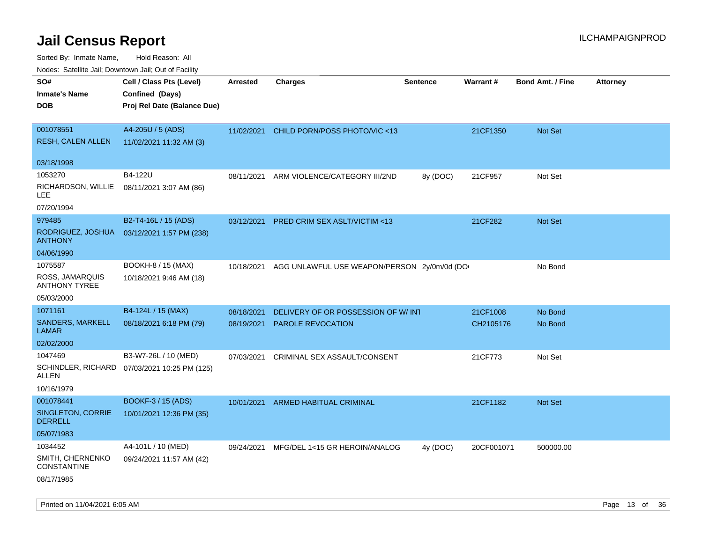| Nudes. Satellite Jali, Downtown Jali, Out of Facility |                                              |            |                                             |                 |                 |                         |                 |
|-------------------------------------------------------|----------------------------------------------|------------|---------------------------------------------|-----------------|-----------------|-------------------------|-----------------|
| SO#                                                   | Cell / Class Pts (Level)                     | Arrested   | <b>Charges</b>                              | <b>Sentence</b> | <b>Warrant#</b> | <b>Bond Amt. / Fine</b> | <b>Attorney</b> |
| <b>Inmate's Name</b>                                  | Confined (Days)                              |            |                                             |                 |                 |                         |                 |
| <b>DOB</b>                                            | Proj Rel Date (Balance Due)                  |            |                                             |                 |                 |                         |                 |
|                                                       |                                              |            |                                             |                 |                 |                         |                 |
| 001078551                                             | A4-205U / 5 (ADS)                            | 11/02/2021 | CHILD PORN/POSS PHOTO/VIC <13               |                 | 21CF1350        | Not Set                 |                 |
| <b>RESH, CALEN ALLEN</b>                              | 11/02/2021 11:32 AM (3)                      |            |                                             |                 |                 |                         |                 |
| 03/18/1998                                            |                                              |            |                                             |                 |                 |                         |                 |
| 1053270                                               | B4-122U                                      | 08/11/2021 | ARM VIOLENCE/CATEGORY III/2ND               | 8y (DOC)        | 21CF957         | Not Set                 |                 |
| RICHARDSON, WILLIE<br>LEE                             | 08/11/2021 3:07 AM (86)                      |            |                                             |                 |                 |                         |                 |
| 07/20/1994                                            |                                              |            |                                             |                 |                 |                         |                 |
| 979485                                                | B2-T4-16L / 15 (ADS)                         | 03/12/2021 | PRED CRIM SEX ASLT/VICTIM <13               |                 | 21CF282         | <b>Not Set</b>          |                 |
| RODRIGUEZ, JOSHUA<br><b>ANTHONY</b>                   | 03/12/2021 1:57 PM (238)                     |            |                                             |                 |                 |                         |                 |
| 04/06/1990                                            |                                              |            |                                             |                 |                 |                         |                 |
| 1075587                                               | BOOKH-8 / 15 (MAX)                           | 10/18/2021 | AGG UNLAWFUL USE WEAPON/PERSON 2y/0m/0d (DO |                 |                 | No Bond                 |                 |
| ROSS, JAMARQUIS<br><b>ANTHONY TYREE</b>               | 10/18/2021 9:46 AM (18)                      |            |                                             |                 |                 |                         |                 |
| 05/03/2000                                            |                                              |            |                                             |                 |                 |                         |                 |
| 1071161                                               | B4-124L / 15 (MAX)                           | 08/18/2021 | DELIVERY OF OR POSSESSION OF W/INT          |                 | 21CF1008        | No Bond                 |                 |
| SANDERS, MARKELL<br>LAMAR                             | 08/18/2021 6:18 PM (79)                      | 08/19/2021 | <b>PAROLE REVOCATION</b>                    |                 | CH2105176       | No Bond                 |                 |
| 02/02/2000                                            |                                              |            |                                             |                 |                 |                         |                 |
| 1047469                                               | B3-W7-26L / 10 (MED)                         | 07/03/2021 | CRIMINAL SEX ASSAULT/CONSENT                |                 | 21CF773         | Not Set                 |                 |
| ALLEN                                                 | SCHINDLER, RICHARD 07/03/2021 10:25 PM (125) |            |                                             |                 |                 |                         |                 |
| 10/16/1979                                            |                                              |            |                                             |                 |                 |                         |                 |
| 001078441                                             | BOOKF-3 / 15 (ADS)                           | 10/01/2021 | <b>ARMED HABITUAL CRIMINAL</b>              |                 | 21CF1182        | <b>Not Set</b>          |                 |
| SINGLETON, CORRIE<br><b>DERRELL</b>                   | 10/01/2021 12:36 PM (35)                     |            |                                             |                 |                 |                         |                 |
| 05/07/1983                                            |                                              |            |                                             |                 |                 |                         |                 |
| 1034452                                               | A4-101L / 10 (MED)                           | 09/24/2021 | MFG/DEL 1<15 GR HEROIN/ANALOG               | 4y (DOC)        | 20CF001071      | 500000.00               |                 |
| SMITH, CHERNENKO<br><b>CONSTANTINE</b>                | 09/24/2021 11:57 AM (42)                     |            |                                             |                 |                 |                         |                 |
| 08/17/1985                                            |                                              |            |                                             |                 |                 |                         |                 |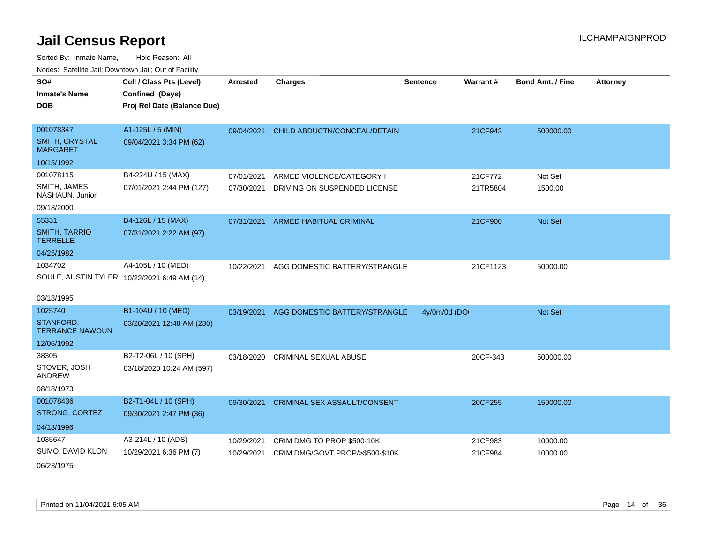| roaco. Calcinio dan, Domnomi dan, Cal or Fability |                                             |                 |                                     |                 |                 |                         |                 |
|---------------------------------------------------|---------------------------------------------|-----------------|-------------------------------------|-----------------|-----------------|-------------------------|-----------------|
| SO#                                               | Cell / Class Pts (Level)                    | <b>Arrested</b> | <b>Charges</b>                      | <b>Sentence</b> | <b>Warrant#</b> | <b>Bond Amt. / Fine</b> | <b>Attorney</b> |
| Inmate's Name                                     | Confined (Days)                             |                 |                                     |                 |                 |                         |                 |
| <b>DOB</b>                                        | Proj Rel Date (Balance Due)                 |                 |                                     |                 |                 |                         |                 |
|                                                   |                                             |                 |                                     |                 |                 |                         |                 |
| 001078347                                         | A1-125L / 5 (MIN)                           | 09/04/2021      | CHILD ABDUCTN/CONCEAL/DETAIN        |                 | 21CF942         | 500000.00               |                 |
| <b>SMITH, CRYSTAL</b><br>MARGARET                 | 09/04/2021 3:34 PM (62)                     |                 |                                     |                 |                 |                         |                 |
| 10/15/1992                                        |                                             |                 |                                     |                 |                 |                         |                 |
| 001078115                                         | B4-224U / 15 (MAX)                          | 07/01/2021      | ARMED VIOLENCE/CATEGORY I           |                 | 21CF772         | Not Set                 |                 |
| SMITH, JAMES<br>NASHAUN, Junior                   | 07/01/2021 2:44 PM (127)                    | 07/30/2021      | DRIVING ON SUSPENDED LICENSE        |                 | 21TR5804        | 1500.00                 |                 |
| 09/18/2000                                        |                                             |                 |                                     |                 |                 |                         |                 |
| 55331                                             | B4-126L / 15 (MAX)                          | 07/31/2021      | <b>ARMED HABITUAL CRIMINAL</b>      |                 | 21CF900         | <b>Not Set</b>          |                 |
| <b>SMITH, TARRIO</b><br>TERRELLE                  | 07/31/2021 2:22 AM (97)                     |                 |                                     |                 |                 |                         |                 |
| 04/25/1982                                        |                                             |                 |                                     |                 |                 |                         |                 |
| 1034702                                           | A4-105L / 10 (MED)                          | 10/22/2021      | AGG DOMESTIC BATTERY/STRANGLE       |                 | 21CF1123        | 50000.00                |                 |
|                                                   | SOULE, AUSTIN TYLER 10/22/2021 6:49 AM (14) |                 |                                     |                 |                 |                         |                 |
|                                                   |                                             |                 |                                     |                 |                 |                         |                 |
| 03/18/1995                                        |                                             |                 |                                     |                 |                 |                         |                 |
| 1025740                                           | B1-104U / 10 (MED)                          | 03/19/2021      | AGG DOMESTIC BATTERY/STRANGLE       | 4y/0m/0d (DO    |                 | <b>Not Set</b>          |                 |
| STANFORD,<br><b>TERRANCE NAWOUN</b>               | 03/20/2021 12:48 AM (230)                   |                 |                                     |                 |                 |                         |                 |
| 12/06/1992                                        |                                             |                 |                                     |                 |                 |                         |                 |
| 38305                                             | B2-T2-06L / 10 (SPH)                        | 03/18/2020      | <b>CRIMINAL SEXUAL ABUSE</b>        |                 | 20CF-343        | 500000.00               |                 |
| STOVER, JOSH<br>ANDREW                            | 03/18/2020 10:24 AM (597)                   |                 |                                     |                 |                 |                         |                 |
| 08/18/1973                                        |                                             |                 |                                     |                 |                 |                         |                 |
| 001078436                                         | B2-T1-04L / 10 (SPH)                        | 09/30/2021      | <b>CRIMINAL SEX ASSAULT/CONSENT</b> |                 | 20CF255         | 150000.00               |                 |
| <b>STRONG, CORTEZ</b>                             | 09/30/2021 2:47 PM (36)                     |                 |                                     |                 |                 |                         |                 |
| 04/13/1996                                        |                                             |                 |                                     |                 |                 |                         |                 |
| 1035647                                           | A3-214L / 10 (ADS)                          | 10/29/2021      | CRIM DMG TO PROP \$500-10K          |                 | 21CF983         | 10000.00                |                 |
| SUMO, DAVID KLON                                  | 10/29/2021 6:36 PM (7)                      | 10/29/2021      | CRIM DMG/GOVT PROP/>\$500-\$10K     |                 | 21CF984         | 10000.00                |                 |
| 06/23/1975                                        |                                             |                 |                                     |                 |                 |                         |                 |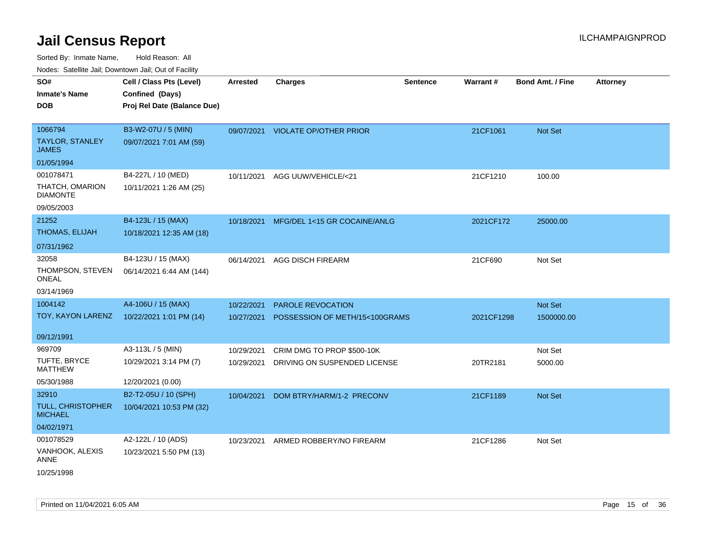| SO#                                    | Cell / Class Pts (Level)    | <b>Arrested</b> | <b>Charges</b>                      | <b>Sentence</b> | Warrant#   | <b>Bond Amt. / Fine</b> | <b>Attorney</b> |
|----------------------------------------|-----------------------------|-----------------|-------------------------------------|-----------------|------------|-------------------------|-----------------|
| <b>Inmate's Name</b>                   | Confined (Days)             |                 |                                     |                 |            |                         |                 |
| DOB                                    | Proj Rel Date (Balance Due) |                 |                                     |                 |            |                         |                 |
|                                        |                             |                 |                                     |                 |            |                         |                 |
| 1066794                                | B3-W2-07U / 5 (MIN)         |                 | 09/07/2021 VIOLATE OP/OTHER PRIOR   |                 | 21CF1061   | Not Set                 |                 |
| <b>TAYLOR, STANLEY</b><br><b>JAMES</b> | 09/07/2021 7:01 AM (59)     |                 |                                     |                 |            |                         |                 |
| 01/05/1994                             |                             |                 |                                     |                 |            |                         |                 |
| 001078471                              | B4-227L / 10 (MED)          |                 | 10/11/2021 AGG UUW/VEHICLE/<21      |                 | 21CF1210   | 100.00                  |                 |
| THATCH, OMARION<br><b>DIAMONTE</b>     | 10/11/2021 1:26 AM (25)     |                 |                                     |                 |            |                         |                 |
| 09/05/2003                             |                             |                 |                                     |                 |            |                         |                 |
| 21252                                  | B4-123L / 15 (MAX)          | 10/18/2021      | MFG/DEL 1<15 GR COCAINE/ANLG        |                 | 2021CF172  | 25000.00                |                 |
| <b>THOMAS, ELIJAH</b>                  | 10/18/2021 12:35 AM (18)    |                 |                                     |                 |            |                         |                 |
| 07/31/1962                             |                             |                 |                                     |                 |            |                         |                 |
| 32058                                  | B4-123U / 15 (MAX)          | 06/14/2021      | <b>AGG DISCH FIREARM</b>            |                 | 21CF690    | Not Set                 |                 |
| THOMPSON, STEVEN<br><b>ONEAL</b>       | 06/14/2021 6:44 AM (144)    |                 |                                     |                 |            |                         |                 |
| 03/14/1969                             |                             |                 |                                     |                 |            |                         |                 |
| 1004142                                | A4-106U / 15 (MAX)          | 10/22/2021      | PAROLE REVOCATION                   |                 |            | Not Set                 |                 |
| TOY, KAYON LARENZ                      | 10/22/2021 1:01 PM (14)     | 10/27/2021      | POSSESSION OF METH/15<100GRAMS      |                 | 2021CF1298 | 1500000.00              |                 |
| 09/12/1991                             |                             |                 |                                     |                 |            |                         |                 |
| 969709                                 | A3-113L / 5 (MIN)           | 10/29/2021      | CRIM DMG TO PROP \$500-10K          |                 |            | Not Set                 |                 |
| TUFTE, BRYCE<br><b>MATTHEW</b>         | 10/29/2021 3:14 PM (7)      | 10/29/2021      | DRIVING ON SUSPENDED LICENSE        |                 | 20TR2181   | 5000.00                 |                 |
| 05/30/1988                             | 12/20/2021 (0.00)           |                 |                                     |                 |            |                         |                 |
| 32910                                  | B2-T2-05U / 10 (SPH)        | 10/04/2021      | DOM BTRY/HARM/1-2 PRECONV           |                 | 21CF1189   | <b>Not Set</b>          |                 |
| TULL, CHRISTOPHER<br><b>MICHAEL</b>    | 10/04/2021 10:53 PM (32)    |                 |                                     |                 |            |                         |                 |
| 04/02/1971                             |                             |                 |                                     |                 |            |                         |                 |
| 001078529                              | A2-122L / 10 (ADS)          |                 | 10/23/2021 ARMED ROBBERY/NO FIREARM |                 | 21CF1286   | Not Set                 |                 |
| VANHOOK, ALEXIS<br>ANNE                | 10/23/2021 5:50 PM (13)     |                 |                                     |                 |            |                         |                 |
| 10/25/1998                             |                             |                 |                                     |                 |            |                         |                 |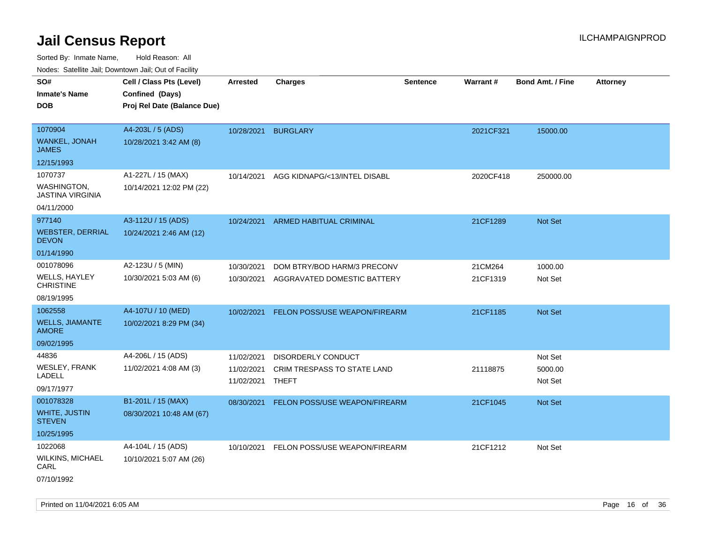| roaco. Oatomto dan, Downtown dan, Oat or Fability |                             |            |                                      |                 |           |                         |                 |
|---------------------------------------------------|-----------------------------|------------|--------------------------------------|-----------------|-----------|-------------------------|-----------------|
| SO#                                               | Cell / Class Pts (Level)    | Arrested   | <b>Charges</b>                       | <b>Sentence</b> | Warrant#  | <b>Bond Amt. / Fine</b> | <b>Attorney</b> |
| <b>Inmate's Name</b>                              | Confined (Days)             |            |                                      |                 |           |                         |                 |
| DOB                                               | Proj Rel Date (Balance Due) |            |                                      |                 |           |                         |                 |
|                                                   |                             |            |                                      |                 |           |                         |                 |
| 1070904                                           | A4-203L / 5 (ADS)           | 10/28/2021 | <b>BURGLARY</b>                      |                 | 2021CF321 | 15000.00                |                 |
| WANKEL, JONAH<br>JAMES                            | 10/28/2021 3:42 AM (8)      |            |                                      |                 |           |                         |                 |
| 12/15/1993                                        |                             |            |                                      |                 |           |                         |                 |
| 1070737                                           | A1-227L / 15 (MAX)          | 10/14/2021 | AGG KIDNAPG/<13/INTEL DISABL         |                 | 2020CF418 | 250000.00               |                 |
| WASHINGTON,<br><b>JASTINA VIRGINIA</b>            | 10/14/2021 12:02 PM (22)    |            |                                      |                 |           |                         |                 |
| 04/11/2000                                        |                             |            |                                      |                 |           |                         |                 |
| 977140                                            | A3-112U / 15 (ADS)          | 10/24/2021 | ARMED HABITUAL CRIMINAL              |                 | 21CF1289  | Not Set                 |                 |
| <b>WEBSTER, DERRIAL</b><br><b>DEVON</b>           | 10/24/2021 2:46 AM (12)     |            |                                      |                 |           |                         |                 |
| 01/14/1990                                        |                             |            |                                      |                 |           |                         |                 |
| 001078096                                         | A2-123U / 5 (MIN)           | 10/30/2021 | DOM BTRY/BOD HARM/3 PRECONV          |                 | 21CM264   | 1000.00                 |                 |
| WELLS, HAYLEY<br>CHRISTINE                        | 10/30/2021 5:03 AM (6)      | 10/30/2021 | AGGRAVATED DOMESTIC BATTERY          |                 | 21CF1319  | Not Set                 |                 |
| 08/19/1995                                        |                             |            |                                      |                 |           |                         |                 |
| 1062558                                           | A4-107U / 10 (MED)          | 10/02/2021 | <b>FELON POSS/USE WEAPON/FIREARM</b> |                 | 21CF1185  | Not Set                 |                 |
| <b>WELLS, JIAMANTE</b><br><b>AMORE</b>            | 10/02/2021 8:29 PM (34)     |            |                                      |                 |           |                         |                 |
| 09/02/1995                                        |                             |            |                                      |                 |           |                         |                 |
| 44836                                             | A4-206L / 15 (ADS)          | 11/02/2021 | <b>DISORDERLY CONDUCT</b>            |                 |           | Not Set                 |                 |
| <b>WESLEY, FRANK</b>                              | 11/02/2021 4:08 AM (3)      | 11/02/2021 | CRIM TRESPASS TO STATE LAND          |                 | 21118875  | 5000.00                 |                 |
| LADELL                                            |                             | 11/02/2021 | THEFT                                |                 |           | Not Set                 |                 |
| 09/17/1977                                        |                             |            |                                      |                 |           |                         |                 |
| 001078328                                         | B1-201L / 15 (MAX)          | 08/30/2021 | FELON POSS/USE WEAPON/FIREARM        |                 | 21CF1045  | <b>Not Set</b>          |                 |
| <b>WHITE, JUSTIN</b><br><b>STEVEN</b>             | 08/30/2021 10:48 AM (67)    |            |                                      |                 |           |                         |                 |
| 10/25/1995                                        |                             |            |                                      |                 |           |                         |                 |
| 1022068                                           | A4-104L / 15 (ADS)          | 10/10/2021 | FELON POSS/USE WEAPON/FIREARM        |                 | 21CF1212  | Not Set                 |                 |
| WILKINS, MICHAEL<br>CARL                          | 10/10/2021 5:07 AM (26)     |            |                                      |                 |           |                         |                 |
| 07/10/1992                                        |                             |            |                                      |                 |           |                         |                 |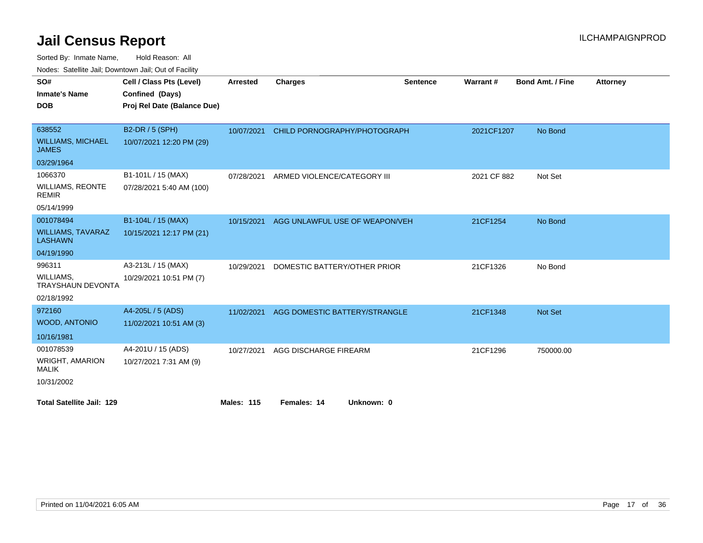| SO#                                        | Cell / Class Pts (Level)    | Arrested          | Charges                        | <b>Sentence</b> | Warrant#    | <b>Bond Amt. / Fine</b> | <b>Attorney</b> |
|--------------------------------------------|-----------------------------|-------------------|--------------------------------|-----------------|-------------|-------------------------|-----------------|
| <b>Inmate's Name</b>                       | Confined (Days)             |                   |                                |                 |             |                         |                 |
| <b>DOB</b>                                 | Proj Rel Date (Balance Due) |                   |                                |                 |             |                         |                 |
|                                            |                             |                   |                                |                 |             |                         |                 |
| 638552                                     | B2-DR / 5 (SPH)             | 10/07/2021        | CHILD PORNOGRAPHY/PHOTOGRAPH   |                 | 2021CF1207  | No Bond                 |                 |
| <b>WILLIAMS, MICHAEL</b><br><b>JAMES</b>   | 10/07/2021 12:20 PM (29)    |                   |                                |                 |             |                         |                 |
| 03/29/1964                                 |                             |                   |                                |                 |             |                         |                 |
| 1066370                                    | B1-101L / 15 (MAX)          | 07/28/2021        | ARMED VIOLENCE/CATEGORY III    |                 | 2021 CF 882 | Not Set                 |                 |
| <b>WILLIAMS, REONTE</b><br><b>REMIR</b>    | 07/28/2021 5:40 AM (100)    |                   |                                |                 |             |                         |                 |
| 05/14/1999                                 |                             |                   |                                |                 |             |                         |                 |
| 001078494                                  | B1-104L / 15 (MAX)          | 10/15/2021        | AGG UNLAWFUL USE OF WEAPON/VEH |                 | 21CF1254    | No Bond                 |                 |
| <b>WILLIAMS, TAVARAZ</b><br><b>LASHAWN</b> | 10/15/2021 12:17 PM (21)    |                   |                                |                 |             |                         |                 |
| 04/19/1990                                 |                             |                   |                                |                 |             |                         |                 |
| 996311                                     | A3-213L / 15 (MAX)          | 10/29/2021        | DOMESTIC BATTERY/OTHER PRIOR   |                 | 21CF1326    | No Bond                 |                 |
| WILLIAMS.<br><b>TRAYSHAUN DEVONTA</b>      | 10/29/2021 10:51 PM (7)     |                   |                                |                 |             |                         |                 |
| 02/18/1992                                 |                             |                   |                                |                 |             |                         |                 |
| 972160                                     | A4-205L / 5 (ADS)           | 11/02/2021        | AGG DOMESTIC BATTERY/STRANGLE  |                 | 21CF1348    | Not Set                 |                 |
| WOOD, ANTONIO                              | 11/02/2021 10:51 AM (3)     |                   |                                |                 |             |                         |                 |
| 10/16/1981                                 |                             |                   |                                |                 |             |                         |                 |
| 001078539                                  | A4-201U / 15 (ADS)          | 10/27/2021        | AGG DISCHARGE FIREARM          |                 | 21CF1296    | 750000.00               |                 |
| <b>WRIGHT, AMARION</b><br><b>MALIK</b>     | 10/27/2021 7:31 AM (9)      |                   |                                |                 |             |                         |                 |
| 10/31/2002                                 |                             |                   |                                |                 |             |                         |                 |
| <b>Total Satellite Jail: 129</b>           |                             | <b>Males: 115</b> | Females: 14<br>Unknown: 0      |                 |             |                         |                 |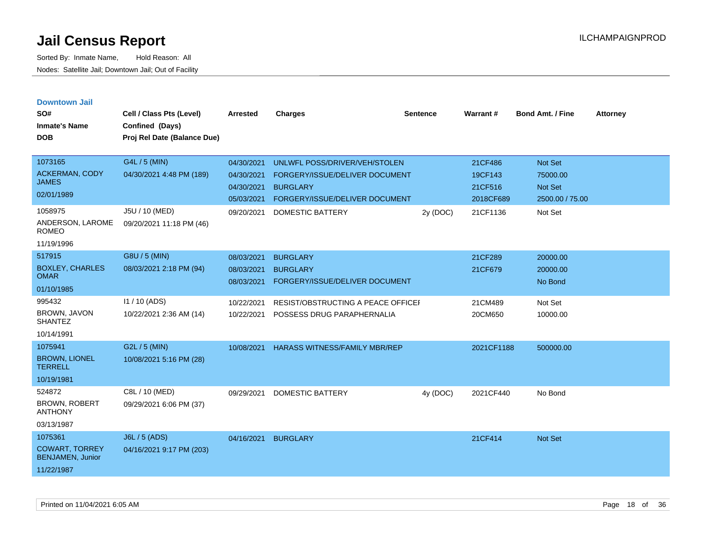| <b>Downtown Jail</b> |  |
|----------------------|--|
|                      |  |

| SO#<br><b>Inmate's Name</b><br><b>DOB</b>                                 | Cell / Class Pts (Level)<br>Confined (Days)<br>Proj Rel Date (Balance Due) | <b>Arrested</b>                                      | <b>Charges</b>                                                                                                       | <b>Sentence</b> | Warrant#                                   | <b>Bond Amt. / Fine</b>                                  | <b>Attorney</b> |
|---------------------------------------------------------------------------|----------------------------------------------------------------------------|------------------------------------------------------|----------------------------------------------------------------------------------------------------------------------|-----------------|--------------------------------------------|----------------------------------------------------------|-----------------|
| 1073165<br><b>ACKERMAN, CODY</b><br><b>JAMES</b><br>02/01/1989            | G4L / 5 (MIN)<br>04/30/2021 4:48 PM (189)                                  | 04/30/2021<br>04/30/2021<br>04/30/2021<br>05/03/2021 | UNLWFL POSS/DRIVER/VEH/STOLEN<br>FORGERY/ISSUE/DELIVER DOCUMENT<br><b>BURGLARY</b><br>FORGERY/ISSUE/DELIVER DOCUMENT |                 | 21CF486<br>19CF143<br>21CF516<br>2018CF689 | <b>Not Set</b><br>75000.00<br>Not Set<br>2500.00 / 75.00 |                 |
| 1058975<br>ANDERSON, LAROME<br><b>ROMEO</b><br>11/19/1996                 | J5U / 10 (MED)<br>09/20/2021 11:18 PM (46)                                 | 09/20/2021                                           | <b>DOMESTIC BATTERY</b>                                                                                              | 2y (DOC)        | 21CF1136                                   | Not Set                                                  |                 |
| 517915<br><b>BOXLEY, CHARLES</b><br><b>OMAR</b><br>01/10/1985             | G8U / 5 (MIN)<br>08/03/2021 2:18 PM (94)                                   | 08/03/2021<br>08/03/2021<br>08/03/2021               | <b>BURGLARY</b><br><b>BURGLARY</b><br>FORGERY/ISSUE/DELIVER DOCUMENT                                                 |                 | 21CF289<br>21CF679                         | 20000.00<br>20000.00<br>No Bond                          |                 |
| 995432<br><b>BROWN, JAVON</b><br><b>SHANTEZ</b><br>10/14/1991             | I1 / 10 (ADS)<br>10/22/2021 2:36 AM (14)                                   | 10/22/2021<br>10/22/2021                             | RESIST/OBSTRUCTING A PEACE OFFICEF<br>POSSESS DRUG PARAPHERNALIA                                                     |                 | 21CM489<br>20CM650                         | Not Set<br>10000.00                                      |                 |
| 1075941<br><b>BROWN, LIONEL</b><br><b>TERRELL</b><br>10/19/1981           | G2L / 5 (MIN)<br>10/08/2021 5:16 PM (28)                                   | 10/08/2021                                           | <b>HARASS WITNESS/FAMILY MBR/REP</b>                                                                                 |                 | 2021CF1188                                 | 500000.00                                                |                 |
| 524872<br><b>BROWN, ROBERT</b><br><b>ANTHONY</b><br>03/13/1987            | C8L / 10 (MED)<br>09/29/2021 6:06 PM (37)                                  | 09/29/2021                                           | <b>DOMESTIC BATTERY</b>                                                                                              | 4y (DOC)        | 2021CF440                                  | No Bond                                                  |                 |
| 1075361<br><b>COWART, TORREY</b><br><b>BENJAMEN, Junior</b><br>11/22/1987 | <b>J6L / 5 (ADS)</b><br>04/16/2021 9:17 PM (203)                           | 04/16/2021                                           | <b>BURGLARY</b>                                                                                                      |                 | 21CF414                                    | Not Set                                                  |                 |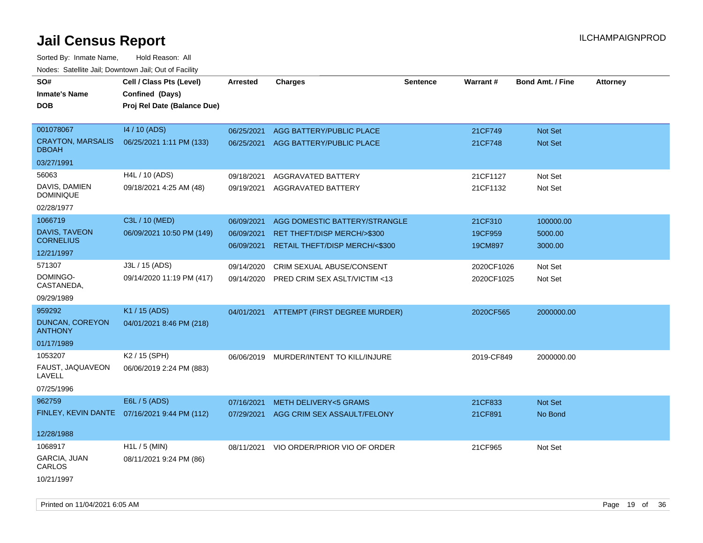| roaco. Catolino cali, Domntonn cali, Out of Facility |                                              |            |                                          |                 |            |                         |                 |
|------------------------------------------------------|----------------------------------------------|------------|------------------------------------------|-----------------|------------|-------------------------|-----------------|
| SO#                                                  | Cell / Class Pts (Level)                     | Arrested   | <b>Charges</b>                           | <b>Sentence</b> | Warrant#   | <b>Bond Amt. / Fine</b> | <b>Attorney</b> |
| <b>Inmate's Name</b>                                 | Confined (Days)                              |            |                                          |                 |            |                         |                 |
| <b>DOB</b>                                           | Proj Rel Date (Balance Due)                  |            |                                          |                 |            |                         |                 |
| 001078067                                            | 14 / 10 (ADS)                                |            |                                          |                 |            |                         |                 |
| <b>CRAYTON, MARSALIS</b>                             |                                              | 06/25/2021 | AGG BATTERY/PUBLIC PLACE                 |                 | 21CF749    | Not Set                 |                 |
| <b>DBOAH</b>                                         | 06/25/2021 1:11 PM (133)                     | 06/25/2021 | AGG BATTERY/PUBLIC PLACE                 |                 | 21CF748    | Not Set                 |                 |
| 03/27/1991                                           |                                              |            |                                          |                 |            |                         |                 |
| 56063                                                | H4L / 10 (ADS)                               | 09/18/2021 | <b>AGGRAVATED BATTERY</b>                |                 | 21CF1127   | Not Set                 |                 |
| DAVIS, DAMIEN<br><b>DOMINIQUE</b>                    | 09/18/2021 4:25 AM (48)                      | 09/19/2021 | AGGRAVATED BATTERY                       |                 | 21CF1132   | Not Set                 |                 |
| 02/28/1977                                           |                                              |            |                                          |                 |            |                         |                 |
| 1066719                                              | C3L / 10 (MED)                               | 06/09/2021 | AGG DOMESTIC BATTERY/STRANGLE            |                 | 21CF310    | 100000.00               |                 |
| DAVIS, TAVEON                                        | 06/09/2021 10:50 PM (149)                    | 06/09/2021 | <b>RET THEFT/DISP MERCH/&gt;\$300</b>    |                 | 19CF959    | 5000.00                 |                 |
| <b>CORNELIUS</b>                                     |                                              | 06/09/2021 | RETAIL THEFT/DISP MERCH/<\$300           |                 | 19CM897    | 3000.00                 |                 |
| 12/21/1997                                           |                                              |            |                                          |                 |            |                         |                 |
| 571307                                               | J3L / 15 (ADS)                               | 09/14/2020 | CRIM SEXUAL ABUSE/CONSENT                |                 | 2020CF1026 | Not Set                 |                 |
| DOMINGO-<br>CASTANEDA,                               | 09/14/2020 11:19 PM (417)                    | 09/14/2020 | PRED CRIM SEX ASLT/VICTIM <13            |                 | 2020CF1025 | Not Set                 |                 |
| 09/29/1989                                           |                                              |            |                                          |                 |            |                         |                 |
| 959292                                               | K1 / 15 (ADS)                                |            | 04/01/2021 ATTEMPT (FIRST DEGREE MURDER) |                 | 2020CF565  | 2000000.00              |                 |
| DUNCAN, COREYON<br><b>ANTHONY</b>                    | 04/01/2021 8:46 PM (218)                     |            |                                          |                 |            |                         |                 |
| 01/17/1989                                           |                                              |            |                                          |                 |            |                         |                 |
| 1053207                                              | K2 / 15 (SPH)                                |            | 06/06/2019 MURDER/INTENT TO KILL/INJURE  |                 | 2019-CF849 | 2000000.00              |                 |
| FAUST, JAQUAVEON<br>LAVELL                           | 06/06/2019 2:24 PM (883)                     |            |                                          |                 |            |                         |                 |
| 07/25/1996                                           |                                              |            |                                          |                 |            |                         |                 |
| 962759                                               | E6L / 5 (ADS)                                | 07/16/2021 | <b>METH DELIVERY&lt;5 GRAMS</b>          |                 | 21CF833    | Not Set                 |                 |
|                                                      | FINLEY, KEVIN DANTE 07/16/2021 9:44 PM (112) | 07/29/2021 | AGG CRIM SEX ASSAULT/FELONY              |                 | 21CF891    | No Bond                 |                 |
| 12/28/1988                                           |                                              |            |                                          |                 |            |                         |                 |
| 1068917                                              | $H1L / 5$ (MIN)                              | 08/11/2021 | VIO ORDER/PRIOR VIO OF ORDER             |                 | 21CF965    | Not Set                 |                 |
| GARCIA, JUAN<br>CARLOS                               | 08/11/2021 9:24 PM (86)                      |            |                                          |                 |            |                         |                 |
| 10/21/1997                                           |                                              |            |                                          |                 |            |                         |                 |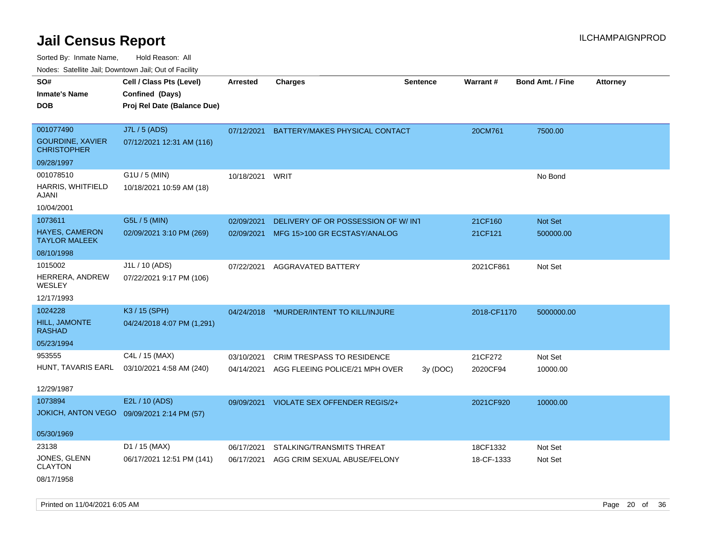Sorted By: Inmate Name, Hold Reason: All

Nodes: Satellite Jail; Downtown Jail; Out of Facility

| SO#<br><b>Inmate's Name</b>                   | Cell / Class Pts (Level)<br>Confined (Days) | <b>Arrested</b> | <b>Charges</b>                           | Sentence | Warrant#    | <b>Bond Amt. / Fine</b> | <b>Attorney</b> |
|-----------------------------------------------|---------------------------------------------|-----------------|------------------------------------------|----------|-------------|-------------------------|-----------------|
|                                               |                                             |                 |                                          |          |             |                         |                 |
| <b>DOB</b>                                    | Proj Rel Date (Balance Due)                 |                 |                                          |          |             |                         |                 |
| 001077490                                     | J7L / 5 (ADS)                               | 07/12/2021      | BATTERY/MAKES PHYSICAL CONTACT           |          | 20CM761     | 7500.00                 |                 |
| <b>GOURDINE, XAVIER</b><br><b>CHRISTOPHER</b> | 07/12/2021 12:31 AM (116)                   |                 |                                          |          |             |                         |                 |
| 09/28/1997                                    |                                             |                 |                                          |          |             |                         |                 |
| 001078510                                     | G1U / 5 (MIN)                               | 10/18/2021      | WRIT                                     |          |             | No Bond                 |                 |
| HARRIS, WHITFIELD<br>AJANI                    | 10/18/2021 10:59 AM (18)                    |                 |                                          |          |             |                         |                 |
| 10/04/2001                                    |                                             |                 |                                          |          |             |                         |                 |
| 1073611                                       | G5L / 5 (MIN)                               | 02/09/2021      | DELIVERY OF OR POSSESSION OF W/INT       |          | 21CF160     | Not Set                 |                 |
| <b>HAYES, CAMERON</b><br><b>TAYLOR MALEEK</b> | 02/09/2021 3:10 PM (269)                    | 02/09/2021      | MFG 15>100 GR ECSTASY/ANALOG             |          | 21CF121     | 500000.00               |                 |
| 08/10/1998                                    |                                             |                 |                                          |          |             |                         |                 |
| 1015002                                       | J1L / 10 (ADS)                              | 07/22/2021      | AGGRAVATED BATTERY                       |          | 2021CF861   | Not Set                 |                 |
| HERRERA, ANDREW<br>WESLEY                     | 07/22/2021 9:17 PM (106)                    |                 |                                          |          |             |                         |                 |
| 12/17/1993                                    |                                             |                 |                                          |          |             |                         |                 |
| 1024228                                       | K3 / 15 (SPH)                               |                 | 04/24/2018 *MURDER/INTENT TO KILL/INJURE |          | 2018-CF1170 | 5000000.00              |                 |
| HILL, JAMONTE<br><b>RASHAD</b>                | 04/24/2018 4:07 PM (1,291)                  |                 |                                          |          |             |                         |                 |
| 05/23/1994                                    |                                             |                 |                                          |          |             |                         |                 |
| 953555                                        | C4L / 15 (MAX)                              | 03/10/2021      | <b>CRIM TRESPASS TO RESIDENCE</b>        |          | 21CF272     | Not Set                 |                 |
| HUNT, TAVARIS EARL                            | 03/10/2021 4:58 AM (240)                    | 04/14/2021      | AGG FLEEING POLICE/21 MPH OVER           | 3y (DOC) | 2020CF94    | 10000.00                |                 |
| 12/29/1987                                    |                                             |                 |                                          |          |             |                         |                 |
| 1073894                                       | E2L / 10 (ADS)                              | 09/09/2021      | VIOLATE SEX OFFENDER REGIS/2+            |          | 2021CF920   | 10000.00                |                 |
| <b>JOKICH, ANTON VEGO</b>                     | 09/09/2021 2:14 PM (57)                     |                 |                                          |          |             |                         |                 |
| 05/30/1969                                    |                                             |                 |                                          |          |             |                         |                 |
| 23138                                         | D1 / 15 (MAX)                               | 06/17/2021      | STALKING/TRANSMITS THREAT                |          | 18CF1332    | Not Set                 |                 |
| JONES, GLENN<br><b>CLAYTON</b>                | 06/17/2021 12:51 PM (141)                   | 06/17/2021      | AGG CRIM SEXUAL ABUSE/FELONY             |          | 18-CF-1333  | Not Set                 |                 |
| 08/17/1958                                    |                                             |                 |                                          |          |             |                         |                 |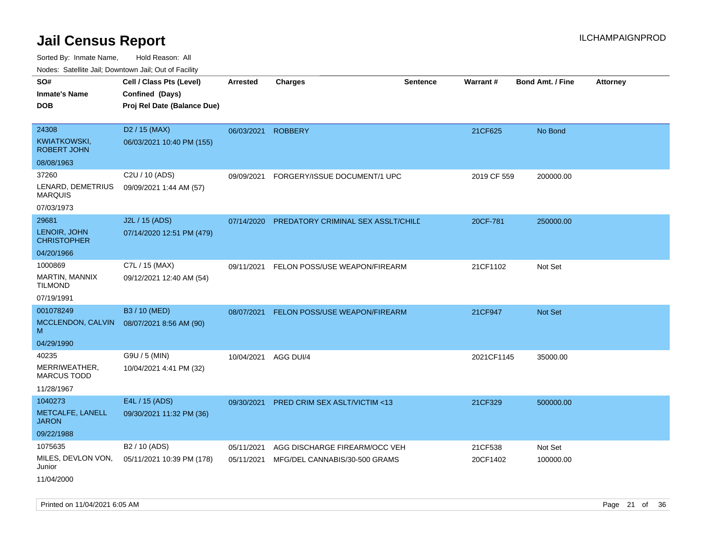|                                              | roaco. Odichile Jan, Downtown Jan, Out of Facility                         |                 |                                    |                 |             |                         |                 |
|----------------------------------------------|----------------------------------------------------------------------------|-----------------|------------------------------------|-----------------|-------------|-------------------------|-----------------|
| SO#<br><b>Inmate's Name</b><br><b>DOB</b>    | Cell / Class Pts (Level)<br>Confined (Days)<br>Proj Rel Date (Balance Due) | <b>Arrested</b> | <b>Charges</b>                     | <b>Sentence</b> | Warrant#    | <b>Bond Amt. / Fine</b> | <b>Attorney</b> |
| 24308<br>KWIATKOWSKI,<br><b>ROBERT JOHN</b>  | D <sub>2</sub> / 15 (MAX)<br>06/03/2021 10:40 PM (155)                     | 06/03/2021      | <b>ROBBERY</b>                     |                 | 21CF625     | No Bond                 |                 |
| 08/08/1963<br>37260<br>LENARD, DEMETRIUS     | C <sub>2</sub> U / 10 (ADS)<br>09/09/2021 1:44 AM (57)                     | 09/09/2021      | FORGERY/ISSUE DOCUMENT/1 UPC       |                 | 2019 CF 559 | 200000.00               |                 |
| <b>MARQUIS</b><br>07/03/1973                 |                                                                            |                 |                                    |                 |             |                         |                 |
| 29681<br>LENOIR, JOHN<br><b>CHRISTOPHER</b>  | J2L / 15 (ADS)<br>07/14/2020 12:51 PM (479)                                | 07/14/2020      | PREDATORY CRIMINAL SEX ASSLT/CHILD |                 | 20CF-781    | 250000.00               |                 |
| 04/20/1966<br>1000869                        | C7L / 15 (MAX)                                                             | 09/11/2021      | FELON POSS/USE WEAPON/FIREARM      |                 | 21CF1102    | Not Set                 |                 |
| MARTIN, MANNIX<br><b>TILMOND</b>             | 09/12/2021 12:40 AM (54)                                                   |                 |                                    |                 |             |                         |                 |
| 07/19/1991                                   |                                                                            |                 |                                    |                 |             |                         |                 |
| 001078249<br>MCCLENDON, CALVIN<br>м          | B3 / 10 (MED)<br>08/07/2021 8:56 AM (90)                                   | 08/07/2021      | FELON POSS/USE WEAPON/FIREARM      |                 | 21CF947     | <b>Not Set</b>          |                 |
| 04/29/1990                                   |                                                                            |                 |                                    |                 |             |                         |                 |
| 40235<br>MERRIWEATHER,<br><b>MARCUS TODD</b> | G9U / 5 (MIN)<br>10/04/2021 4:41 PM (32)                                   | 10/04/2021      | AGG DUI/4                          |                 | 2021CF1145  | 35000.00                |                 |
| 11/28/1967                                   |                                                                            |                 |                                    |                 |             |                         |                 |
| 1040273<br>METCALFE, LANELL<br><b>JARON</b>  | E4L / 15 (ADS)<br>09/30/2021 11:32 PM (36)                                 | 09/30/2021      | PRED CRIM SEX ASLT/VICTIM <13      |                 | 21CF329     | 500000.00               |                 |
| 09/22/1988                                   |                                                                            |                 |                                    |                 |             |                         |                 |
| 1075635                                      | B <sub>2</sub> / 10 (ADS)                                                  | 05/11/2021      | AGG DISCHARGE FIREARM/OCC VEH      |                 | 21CF538     | Not Set                 |                 |
| MILES, DEVLON VON,<br>Junior<br>11/04/2000   | 05/11/2021 10:39 PM (178)                                                  | 05/11/2021      | MFG/DEL CANNABIS/30-500 GRAMS      |                 | 20CF1402    | 100000.00               |                 |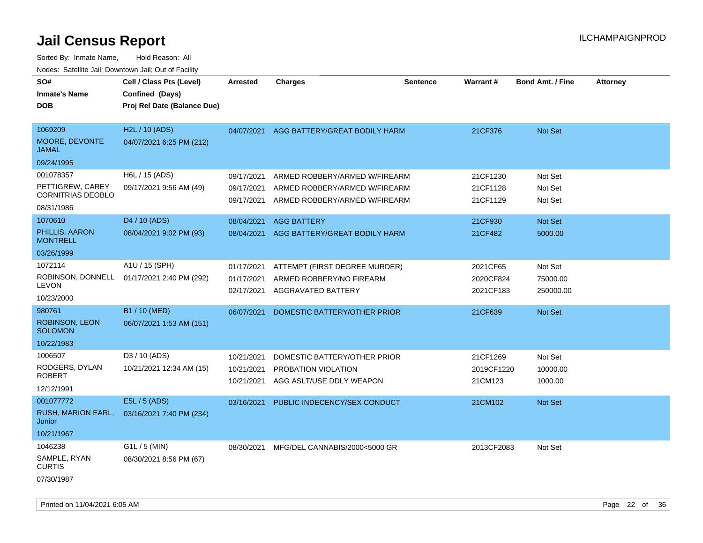| SO#<br><b>Inmate's Name</b><br><b>DOB</b> | Cell / Class Pts (Level)<br>Confined (Days)<br>Proj Rel Date (Balance Due) | <b>Arrested</b> | <b>Charges</b>                | <b>Sentence</b> | Warrant#   | <b>Bond Amt. / Fine</b> | <b>Attorney</b> |
|-------------------------------------------|----------------------------------------------------------------------------|-----------------|-------------------------------|-----------------|------------|-------------------------|-----------------|
|                                           |                                                                            |                 |                               |                 |            |                         |                 |
| 1069209                                   | H2L / 10 (ADS)                                                             | 04/07/2021      | AGG BATTERY/GREAT BODILY HARM |                 | 21CF376    | <b>Not Set</b>          |                 |
| MOORE, DEVONTE<br><b>JAMAL</b>            | 04/07/2021 6:25 PM (212)                                                   |                 |                               |                 |            |                         |                 |
| 09/24/1995                                |                                                                            |                 |                               |                 |            |                         |                 |
| 001078357                                 | H6L / 15 (ADS)                                                             | 09/17/2021      | ARMED ROBBERY/ARMED W/FIREARM |                 | 21CF1230   | Not Set                 |                 |
| PETTIGREW, CAREY                          | 09/17/2021 9:56 AM (49)                                                    | 09/17/2021      | ARMED ROBBERY/ARMED W/FIREARM |                 | 21CF1128   | Not Set                 |                 |
| <b>CORNITRIAS DEOBLO</b>                  |                                                                            | 09/17/2021      | ARMED ROBBERY/ARMED W/FIREARM |                 | 21CF1129   | Not Set                 |                 |
| 08/31/1986                                |                                                                            |                 |                               |                 |            |                         |                 |
| 1070610                                   | D <sub>4</sub> / 10 (ADS)                                                  | 08/04/2021      | <b>AGG BATTERY</b>            |                 | 21CF930    | Not Set                 |                 |
| PHILLIS, AARON<br><b>MONTRELL</b>         | 08/04/2021 9:02 PM (93)                                                    | 08/04/2021      | AGG BATTERY/GREAT BODILY HARM |                 | 21CF482    | 5000.00                 |                 |
| 03/26/1999                                |                                                                            |                 |                               |                 |            |                         |                 |
| 1072114                                   | A1U / 15 (SPH)                                                             | 01/17/2021      | ATTEMPT (FIRST DEGREE MURDER) |                 | 2021CF65   | Not Set                 |                 |
|                                           | ROBINSON, DONNELL 01/17/2021 2:40 PM (292)                                 | 01/17/2021      | ARMED ROBBERY/NO FIREARM      |                 | 2020CF824  | 75000.00                |                 |
| <b>LEVON</b>                              |                                                                            | 02/17/2021      | AGGRAVATED BATTERY            |                 | 2021CF183  | 250000.00               |                 |
| 10/23/2000                                |                                                                            |                 |                               |                 |            |                         |                 |
| 980761                                    | B1 / 10 (MED)                                                              | 06/07/2021      | DOMESTIC BATTERY/OTHER PRIOR  |                 | 21CF639    | Not Set                 |                 |
| <b>ROBINSON, LEON</b><br><b>SOLOMON</b>   | 06/07/2021 1:53 AM (151)                                                   |                 |                               |                 |            |                         |                 |
| 10/22/1983                                |                                                                            |                 |                               |                 |            |                         |                 |
| 1006507                                   | D3 / 10 (ADS)                                                              | 10/21/2021      | DOMESTIC BATTERY/OTHER PRIOR  |                 | 21CF1269   | Not Set                 |                 |
| RODGERS, DYLAN                            | 10/21/2021 12:34 AM (15)                                                   | 10/21/2021      | PROBATION VIOLATION           |                 | 2019CF1220 | 10000.00                |                 |
| <b>ROBERT</b>                             |                                                                            | 10/21/2021      | AGG ASLT/USE DDLY WEAPON      |                 | 21CM123    | 1000.00                 |                 |
| 12/12/1991                                |                                                                            |                 |                               |                 |            |                         |                 |
| 001077772                                 | E5L / 5 (ADS)                                                              | 03/16/2021      | PUBLIC INDECENCY/SEX CONDUCT  |                 | 21CM102    | Not Set                 |                 |
| <b>RUSH, MARION EARL,</b><br>Junior       | 03/16/2021 7:40 PM (234)                                                   |                 |                               |                 |            |                         |                 |
| 10/21/1967                                |                                                                            |                 |                               |                 |            |                         |                 |
| 1046238                                   | $G1L / 5$ (MIN)                                                            | 08/30/2021      | MFG/DEL CANNABIS/2000<5000 GR |                 | 2013CF2083 | Not Set                 |                 |
| SAMPLE, RYAN<br><b>CURTIS</b>             | 08/30/2021 8:56 PM (67)                                                    |                 |                               |                 |            |                         |                 |
| 07/30/1987                                |                                                                            |                 |                               |                 |            |                         |                 |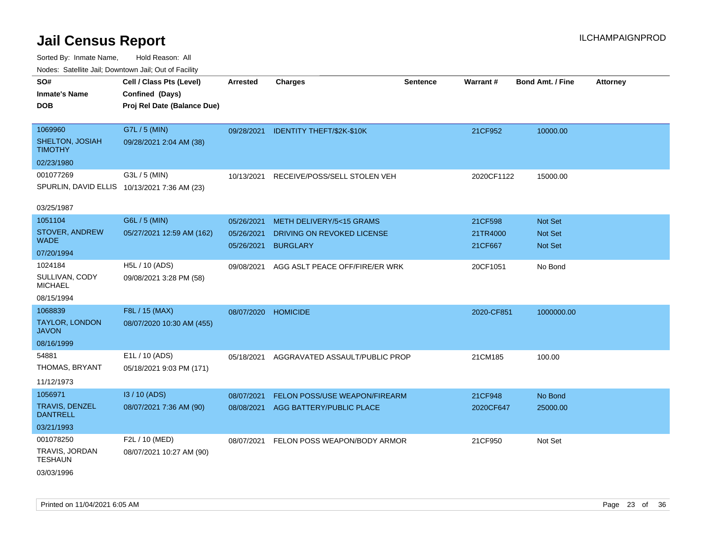| ivouss. Satellite Jali, Downtown Jali, Out of Facility |                                              |            |                                      |                 |            |                         |                 |
|--------------------------------------------------------|----------------------------------------------|------------|--------------------------------------|-----------------|------------|-------------------------|-----------------|
| SO#                                                    | Cell / Class Pts (Level)                     | Arrested   | <b>Charges</b>                       | <b>Sentence</b> | Warrant#   | <b>Bond Amt. / Fine</b> | <b>Attorney</b> |
| Inmate's Name                                          | Confined (Days)                              |            |                                      |                 |            |                         |                 |
| <b>DOB</b>                                             | Proj Rel Date (Balance Due)                  |            |                                      |                 |            |                         |                 |
|                                                        |                                              |            |                                      |                 |            |                         |                 |
| 1069960                                                | G7L / 5 (MIN)                                |            | 09/28/2021 IDENTITY THEFT/\$2K-\$10K |                 | 21CF952    | 10000.00                |                 |
| SHELTON, JOSIAH<br>TIMOTHY                             | 09/28/2021 2:04 AM (38)                      |            |                                      |                 |            |                         |                 |
| 02/23/1980                                             |                                              |            |                                      |                 |            |                         |                 |
| 001077269                                              | G3L / 5 (MIN)                                | 10/13/2021 | RECEIVE/POSS/SELL STOLEN VEH         |                 | 2020CF1122 | 15000.00                |                 |
|                                                        | SPURLIN, DAVID ELLIS 10/13/2021 7:36 AM (23) |            |                                      |                 |            |                         |                 |
| 03/25/1987                                             |                                              |            |                                      |                 |            |                         |                 |
| 1051104                                                | G6L / 5 (MIN)                                | 05/26/2021 | METH DELIVERY/5<15 GRAMS             |                 | 21CF598    | <b>Not Set</b>          |                 |
| STOVER, ANDREW                                         | 05/27/2021 12:59 AM (162)                    | 05/26/2021 | DRIVING ON REVOKED LICENSE           |                 | 21TR4000   | <b>Not Set</b>          |                 |
| WADE.                                                  |                                              | 05/26/2021 | <b>BURGLARY</b>                      |                 | 21CF667    | <b>Not Set</b>          |                 |
| 07/20/1994                                             |                                              |            |                                      |                 |            |                         |                 |
| 1024184                                                | H5L / 10 (ADS)                               | 09/08/2021 | AGG ASLT PEACE OFF/FIRE/ER WRK       |                 | 20CF1051   | No Bond                 |                 |
| SULLIVAN, CODY<br>MICHAEL                              | 09/08/2021 3:28 PM (58)                      |            |                                      |                 |            |                         |                 |
| 08/15/1994                                             |                                              |            |                                      |                 |            |                         |                 |
| 1068839                                                | F8L / 15 (MAX)                               | 08/07/2020 | <b>HOMICIDE</b>                      |                 | 2020-CF851 | 1000000.00              |                 |
| TAYLOR, LONDON<br>JAVON                                | 08/07/2020 10:30 AM (455)                    |            |                                      |                 |            |                         |                 |
| 08/16/1999                                             |                                              |            |                                      |                 |            |                         |                 |
| 54881                                                  | E1L / 10 (ADS)                               | 05/18/2021 | AGGRAVATED ASSAULT/PUBLIC PROP       |                 | 21CM185    | 100.00                  |                 |
| THOMAS, BRYANT                                         | 05/18/2021 9:03 PM (171)                     |            |                                      |                 |            |                         |                 |
| 11/12/1973                                             |                                              |            |                                      |                 |            |                         |                 |
| 1056971                                                | I3 / 10 (ADS)                                | 08/07/2021 | <b>FELON POSS/USE WEAPON/FIREARM</b> |                 | 21CF948    | No Bond                 |                 |
| TRAVIS, DENZEL<br><b>DANTRELL</b>                      | 08/07/2021 7:36 AM (90)                      |            | 08/08/2021 AGG BATTERY/PUBLIC PLACE  |                 | 2020CF647  | 25000.00                |                 |
| 03/21/1993                                             |                                              |            |                                      |                 |            |                         |                 |
| 001078250                                              | F2L / 10 (MED)                               | 08/07/2021 | FELON POSS WEAPON/BODY ARMOR         |                 | 21CF950    | Not Set                 |                 |
| TRAVIS, JORDAN<br>TESHAUN                              | 08/07/2021 10:27 AM (90)                     |            |                                      |                 |            |                         |                 |
| 03/03/1996                                             |                                              |            |                                      |                 |            |                         |                 |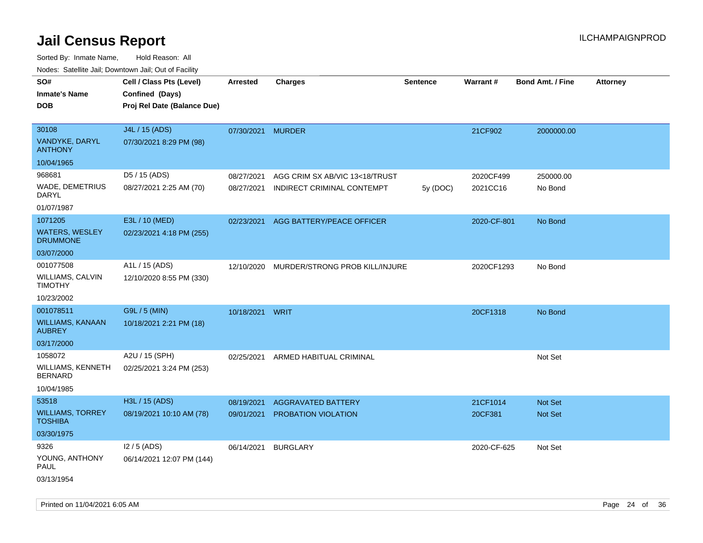| Nudes. Satellite Jali, Downtown Jali, Out of Facility |                             |                 |                                |                 |             |                         |                 |
|-------------------------------------------------------|-----------------------------|-----------------|--------------------------------|-----------------|-------------|-------------------------|-----------------|
| SO#                                                   | Cell / Class Pts (Level)    | Arrested        | <b>Charges</b>                 | <b>Sentence</b> | Warrant#    | <b>Bond Amt. / Fine</b> | <b>Attorney</b> |
| <b>Inmate's Name</b>                                  | Confined (Days)             |                 |                                |                 |             |                         |                 |
| DOB                                                   | Proj Rel Date (Balance Due) |                 |                                |                 |             |                         |                 |
|                                                       |                             |                 |                                |                 |             |                         |                 |
| 30108                                                 | J4L / 15 (ADS)              | 07/30/2021      | <b>MURDER</b>                  |                 | 21CF902     | 2000000.00              |                 |
| VANDYKE, DARYL<br><b>ANTHONY</b>                      | 07/30/2021 8:29 PM (98)     |                 |                                |                 |             |                         |                 |
| 10/04/1965                                            |                             |                 |                                |                 |             |                         |                 |
| 968681                                                | D5 / 15 (ADS)               | 08/27/2021      | AGG CRIM SX AB/VIC 13<18/TRUST |                 | 2020CF499   | 250000.00               |                 |
| WADE, DEMETRIUS<br>DARYL                              | 08/27/2021 2:25 AM (70)     | 08/27/2021      | INDIRECT CRIMINAL CONTEMPT     | 5y (DOC)        | 2021CC16    | No Bond                 |                 |
| 01/07/1987                                            |                             |                 |                                |                 |             |                         |                 |
| 1071205                                               | E3L / 10 (MED)              | 02/23/2021      | AGG BATTERY/PEACE OFFICER      |                 | 2020-CF-801 | No Bond                 |                 |
| WATERS, WESLEY<br><b>DRUMMONE</b>                     | 02/23/2021 4:18 PM (255)    |                 |                                |                 |             |                         |                 |
| 03/07/2000                                            |                             |                 |                                |                 |             |                         |                 |
| 001077508                                             | A1L / 15 (ADS)              | 12/10/2020      | MURDER/STRONG PROB KILL/INJURE |                 | 2020CF1293  | No Bond                 |                 |
| WILLIAMS, CALVIN<br>TIMOTHY                           | 12/10/2020 8:55 PM (330)    |                 |                                |                 |             |                         |                 |
| 10/23/2002                                            |                             |                 |                                |                 |             |                         |                 |
| 001078511                                             | G9L / 5 (MIN)               | 10/18/2021 WRIT |                                |                 | 20CF1318    | No Bond                 |                 |
| WILLIAMS, KANAAN<br>AUBREY                            | 10/18/2021 2:21 PM (18)     |                 |                                |                 |             |                         |                 |
| 03/17/2000                                            |                             |                 |                                |                 |             |                         |                 |
| 1058072                                               | A2U / 15 (SPH)              | 02/25/2021      | ARMED HABITUAL CRIMINAL        |                 |             | Not Set                 |                 |
| WILLIAMS, KENNETH<br><b>BERNARD</b>                   | 02/25/2021 3:24 PM (253)    |                 |                                |                 |             |                         |                 |
| 10/04/1985                                            |                             |                 |                                |                 |             |                         |                 |
| 53518                                                 | H3L / 15 (ADS)              | 08/19/2021      | <b>AGGRAVATED BATTERY</b>      |                 | 21CF1014    | <b>Not Set</b>          |                 |
| WILLIAMS, TORREY<br>TOSHIBA                           | 08/19/2021 10:10 AM (78)    | 09/01/2021      | PROBATION VIOLATION            |                 | 20CF381     | Not Set                 |                 |
| 03/30/1975                                            |                             |                 |                                |                 |             |                         |                 |
| 9326                                                  | $12/5$ (ADS)                | 06/14/2021      | <b>BURGLARY</b>                |                 | 2020-CF-625 | Not Set                 |                 |
| YOUNG, ANTHONY<br>PAUL                                | 06/14/2021 12:07 PM (144)   |                 |                                |                 |             |                         |                 |
| 03/13/1954                                            |                             |                 |                                |                 |             |                         |                 |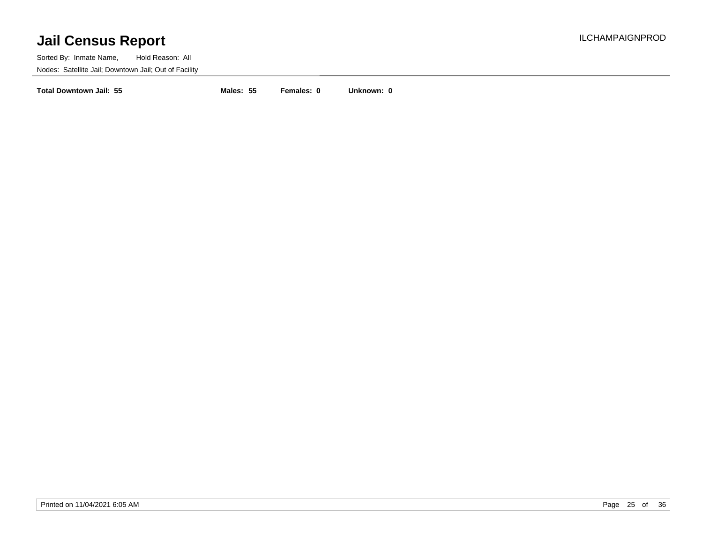Sorted By: Inmate Name, Hold Reason: All Nodes: Satellite Jail; Downtown Jail; Out of Facility

**Total Downtown Jail: 55 Males: 55 Females: 0 Unknown: 0**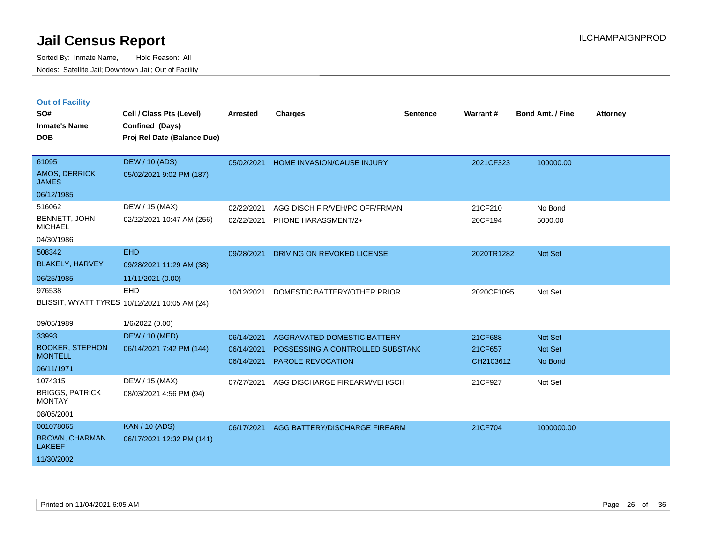|  |  | <b>Out of Facility</b> |
|--|--|------------------------|
|  |  |                        |

| SO#<br><b>Inmate's Name</b><br><b>DOB</b>                         | Cell / Class Pts (Level)<br>Confined (Days)<br>Proj Rel Date (Balance Due) | <b>Arrested</b>                        | <b>Charges</b>                                                                              | <b>Sentence</b> | Warrant#                        | <b>Bond Amt. / Fine</b>              | <b>Attorney</b> |
|-------------------------------------------------------------------|----------------------------------------------------------------------------|----------------------------------------|---------------------------------------------------------------------------------------------|-----------------|---------------------------------|--------------------------------------|-----------------|
| 61095<br>AMOS, DERRICK<br><b>JAMES</b><br>06/12/1985              | <b>DEW / 10 (ADS)</b><br>05/02/2021 9:02 PM (187)                          |                                        | 05/02/2021 HOME INVASION/CAUSE INJURY                                                       |                 | 2021CF323                       | 100000.00                            |                 |
| 516062<br>BENNETT, JOHN<br><b>MICHAEL</b><br>04/30/1986           | DEW / 15 (MAX)<br>02/22/2021 10:47 AM (256)                                | 02/22/2021<br>02/22/2021               | AGG DISCH FIR/VEH/PC OFF/FRMAN<br>PHONE HARASSMENT/2+                                       |                 | 21CF210<br>20CF194              | No Bond<br>5000.00                   |                 |
| 508342<br><b>BLAKELY, HARVEY</b><br>06/25/1985                    | <b>EHD</b><br>09/28/2021 11:29 AM (38)<br>11/11/2021 (0.00)                | 09/28/2021                             | DRIVING ON REVOKED LICENSE                                                                  |                 | 2020TR1282                      | <b>Not Set</b>                       |                 |
| 976538<br>09/05/1989                                              | <b>EHD</b><br>BLISSIT, WYATT TYRES 10/12/2021 10:05 AM (24)                | 10/12/2021                             | DOMESTIC BATTERY/OTHER PRIOR                                                                |                 | 2020CF1095                      | Not Set                              |                 |
| 33993<br><b>BOOKER, STEPHON</b><br><b>MONTELL</b><br>06/11/1971   | 1/6/2022 (0.00)<br><b>DEW / 10 (MED)</b><br>06/14/2021 7:42 PM (144)       | 06/14/2021<br>06/14/2021<br>06/14/2021 | AGGRAVATED DOMESTIC BATTERY<br>POSSESSING A CONTROLLED SUBSTANC<br><b>PAROLE REVOCATION</b> |                 | 21CF688<br>21CF657<br>CH2103612 | Not Set<br><b>Not Set</b><br>No Bond |                 |
| 1074315<br><b>BRIGGS, PATRICK</b><br><b>MONTAY</b><br>08/05/2001  | DEW / 15 (MAX)<br>08/03/2021 4:56 PM (94)                                  | 07/27/2021                             | AGG DISCHARGE FIREARM/VEH/SCH                                                               |                 | 21CF927                         | Not Set                              |                 |
| 001078065<br><b>BROWN, CHARMAN</b><br><b>LAKEEF</b><br>11/30/2002 | <b>KAN / 10 (ADS)</b><br>06/17/2021 12:32 PM (141)                         | 06/17/2021                             | AGG BATTERY/DISCHARGE FIREARM                                                               |                 | 21CF704                         | 1000000.00                           |                 |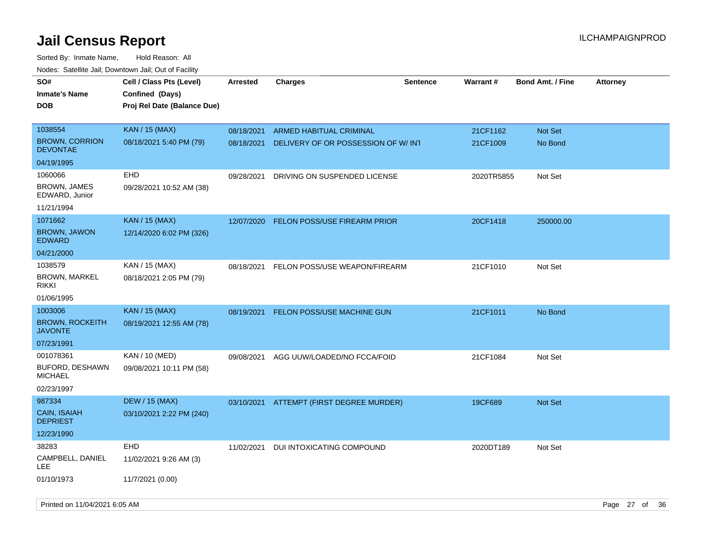| rougs. Calcing Jan, Downtown Jan, Out of Facility |                             |                 |                                          |                 |                 |                         |                 |
|---------------------------------------------------|-----------------------------|-----------------|------------------------------------------|-----------------|-----------------|-------------------------|-----------------|
| SO#                                               | Cell / Class Pts (Level)    | <b>Arrested</b> | Charges                                  | <b>Sentence</b> | <b>Warrant#</b> | <b>Bond Amt. / Fine</b> | <b>Attorney</b> |
| <b>Inmate's Name</b>                              | Confined (Days)             |                 |                                          |                 |                 |                         |                 |
| <b>DOB</b>                                        | Proj Rel Date (Balance Due) |                 |                                          |                 |                 |                         |                 |
|                                                   |                             |                 |                                          |                 |                 |                         |                 |
| 1038554                                           | <b>KAN / 15 (MAX)</b>       | 08/18/2021      | <b>ARMED HABITUAL CRIMINAL</b>           |                 | 21CF1162        | Not Set                 |                 |
| <b>BROWN, CORRION</b><br><b>DEVONTAE</b>          | 08/18/2021 5:40 PM (79)     | 08/18/2021      | DELIVERY OF OR POSSESSION OF W/ INT      |                 | 21CF1009        | No Bond                 |                 |
| 04/19/1995                                        |                             |                 |                                          |                 |                 |                         |                 |
| 1060066                                           | EHD                         | 09/28/2021      | DRIVING ON SUSPENDED LICENSE             |                 | 2020TR5855      | Not Set                 |                 |
| <b>BROWN, JAMES</b><br>EDWARD, Junior             | 09/28/2021 10:52 AM (38)    |                 |                                          |                 |                 |                         |                 |
| 11/21/1994                                        |                             |                 |                                          |                 |                 |                         |                 |
| 1071662                                           | <b>KAN / 15 (MAX)</b>       | 12/07/2020      | <b>FELON POSS/USE FIREARM PRIOR</b>      |                 | 20CF1418        | 250000.00               |                 |
| <b>BROWN, JAWON</b><br><b>EDWARD</b>              | 12/14/2020 6:02 PM (326)    |                 |                                          |                 |                 |                         |                 |
| 04/21/2000                                        |                             |                 |                                          |                 |                 |                         |                 |
| 1038579                                           | KAN / 15 (MAX)              | 08/18/2021      | FELON POSS/USE WEAPON/FIREARM            |                 | 21CF1010        | Not Set                 |                 |
| <b>BROWN, MARKEL</b><br><b>RIKKI</b>              | 08/18/2021 2:05 PM (79)     |                 |                                          |                 |                 |                         |                 |
| 01/06/1995                                        |                             |                 |                                          |                 |                 |                         |                 |
| 1003006                                           | <b>KAN / 15 (MAX)</b>       | 08/19/2021      | <b>FELON POSS/USE MACHINE GUN</b>        |                 | 21CF1011        | No Bond                 |                 |
| <b>BROWN, ROCKEITH</b><br><b>JAVONTE</b>          | 08/19/2021 12:55 AM (78)    |                 |                                          |                 |                 |                         |                 |
| 07/23/1991                                        |                             |                 |                                          |                 |                 |                         |                 |
| 001078361                                         | KAN / 10 (MED)              | 09/08/2021      | AGG UUW/LOADED/NO FCCA/FOID              |                 | 21CF1084        | Not Set                 |                 |
| <b>BUFORD, DESHAWN</b><br><b>MICHAEL</b>          | 09/08/2021 10:11 PM (58)    |                 |                                          |                 |                 |                         |                 |
| 02/23/1997                                        |                             |                 |                                          |                 |                 |                         |                 |
| 987334                                            | <b>DEW / 15 (MAX)</b>       |                 | 03/10/2021 ATTEMPT (FIRST DEGREE MURDER) |                 | 19CF689         | <b>Not Set</b>          |                 |
| CAIN, ISAIAH<br><b>DEPRIEST</b>                   | 03/10/2021 2:22 PM (240)    |                 |                                          |                 |                 |                         |                 |
| 12/23/1990                                        |                             |                 |                                          |                 |                 |                         |                 |
| 38283                                             | <b>EHD</b>                  | 11/02/2021      | DUI INTOXICATING COMPOUND                |                 | 2020DT189       | Not Set                 |                 |
| CAMPBELL, DANIEL<br>LEE                           | 11/02/2021 9:26 AM (3)      |                 |                                          |                 |                 |                         |                 |
| 01/10/1973                                        | 11/7/2021 (0.00)            |                 |                                          |                 |                 |                         |                 |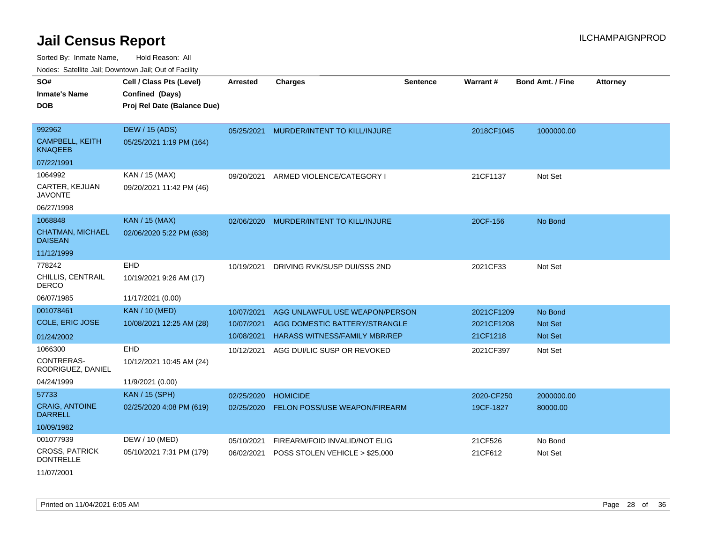Sorted By: Inmate Name, Hold Reason: All Nodes: Satellite Jail; Downtown Jail; Out of Facility

| Noucs. Calcillic Jail, Downtown Jail, Out of Facility |                             |                 |                                      |                 |                 |                         |                 |
|-------------------------------------------------------|-----------------------------|-----------------|--------------------------------------|-----------------|-----------------|-------------------------|-----------------|
| SO#                                                   | Cell / Class Pts (Level)    | <b>Arrested</b> | <b>Charges</b>                       | <b>Sentence</b> | <b>Warrant#</b> | <b>Bond Amt. / Fine</b> | <b>Attorney</b> |
| <b>Inmate's Name</b>                                  | Confined (Days)             |                 |                                      |                 |                 |                         |                 |
| <b>DOB</b>                                            | Proj Rel Date (Balance Due) |                 |                                      |                 |                 |                         |                 |
|                                                       |                             |                 |                                      |                 |                 |                         |                 |
| 992962                                                | DEW / 15 (ADS)              | 05/25/2021      | MURDER/INTENT TO KILL/INJURE         |                 | 2018CF1045      | 1000000.00              |                 |
| <b>CAMPBELL, KEITH</b><br><b>KNAQEEB</b>              | 05/25/2021 1:19 PM (164)    |                 |                                      |                 |                 |                         |                 |
| 07/22/1991                                            |                             |                 |                                      |                 |                 |                         |                 |
| 1064992                                               | KAN / 15 (MAX)              | 09/20/2021      | ARMED VIOLENCE/CATEGORY I            |                 | 21CF1137        | Not Set                 |                 |
| CARTER, KEJUAN<br><b>JAVONTE</b>                      | 09/20/2021 11:42 PM (46)    |                 |                                      |                 |                 |                         |                 |
| 06/27/1998                                            |                             |                 |                                      |                 |                 |                         |                 |
| 1068848                                               | <b>KAN / 15 (MAX)</b>       | 02/06/2020      | MURDER/INTENT TO KILL/INJURE         |                 | 20CF-156        | No Bond                 |                 |
| <b>CHATMAN, MICHAEL</b><br><b>DAISEAN</b>             | 02/06/2020 5:22 PM (638)    |                 |                                      |                 |                 |                         |                 |
| 11/12/1999                                            |                             |                 |                                      |                 |                 |                         |                 |
| 778242                                                | EHD                         | 10/19/2021      | DRIVING RVK/SUSP DUI/SSS 2ND         |                 | 2021CF33        | Not Set                 |                 |
| CHILLIS, CENTRAIL<br><b>DERCO</b>                     | 10/19/2021 9:26 AM (17)     |                 |                                      |                 |                 |                         |                 |
| 06/07/1985                                            | 11/17/2021 (0.00)           |                 |                                      |                 |                 |                         |                 |
| 001078461                                             | <b>KAN / 10 (MED)</b>       | 10/07/2021      | AGG UNLAWFUL USE WEAPON/PERSON       |                 | 2021CF1209      | No Bond                 |                 |
| <b>COLE, ERIC JOSE</b>                                | 10/08/2021 12:25 AM (28)    | 10/07/2021      | AGG DOMESTIC BATTERY/STRANGLE        |                 | 2021CF1208      | Not Set                 |                 |
| 01/24/2002                                            |                             | 10/08/2021      | <b>HARASS WITNESS/FAMILY MBR/REP</b> |                 | 21CF1218        | <b>Not Set</b>          |                 |
| 1066300                                               | <b>EHD</b>                  | 10/12/2021      | AGG DUI/LIC SUSP OR REVOKED          |                 | 2021CF397       | Not Set                 |                 |
| CONTRERAS-<br>RODRIGUEZ, DANIEL                       | 10/12/2021 10:45 AM (24)    |                 |                                      |                 |                 |                         |                 |
| 04/24/1999                                            | 11/9/2021 (0.00)            |                 |                                      |                 |                 |                         |                 |
| 57733                                                 | <b>KAN / 15 (SPH)</b>       | 02/25/2020      | <b>HOMICIDE</b>                      |                 | 2020-CF250      | 2000000.00              |                 |
| <b>CRAIG, ANTOINE</b><br><b>DARRELL</b>               | 02/25/2020 4:08 PM (619)    | 02/25/2020      | FELON POSS/USE WEAPON/FIREARM        |                 | 19CF-1827       | 80000.00                |                 |
| 10/09/1982                                            |                             |                 |                                      |                 |                 |                         |                 |
| 001077939                                             | DEW / 10 (MED)              | 05/10/2021      | FIREARM/FOID INVALID/NOT ELIG        |                 | 21CF526         | No Bond                 |                 |
| <b>CROSS, PATRICK</b><br><b>DONTRELLE</b>             | 05/10/2021 7:31 PM (179)    | 06/02/2021      | POSS STOLEN VEHICLE > \$25,000       |                 | 21CF612         | Not Set                 |                 |
| 11/07/2001                                            |                             |                 |                                      |                 |                 |                         |                 |

Printed on 11/04/2021 6:05 AM **Page 28** of 36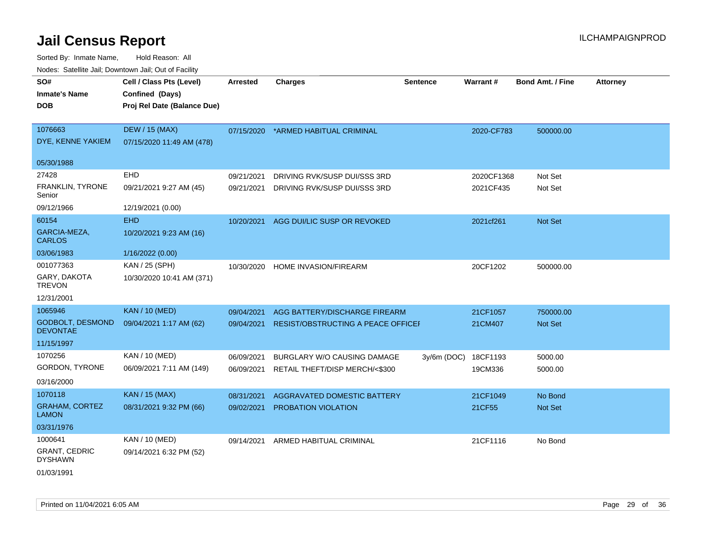| rougs. Calcinic Jan, Downtown Jan, Out of Facility |                             |                 |                                        |                 |            |                         |                 |
|----------------------------------------------------|-----------------------------|-----------------|----------------------------------------|-----------------|------------|-------------------------|-----------------|
| SO#                                                | Cell / Class Pts (Level)    | <b>Arrested</b> | <b>Charges</b>                         | <b>Sentence</b> | Warrant#   | <b>Bond Amt. / Fine</b> | <b>Attorney</b> |
| <b>Inmate's Name</b>                               | Confined (Days)             |                 |                                        |                 |            |                         |                 |
| <b>DOB</b>                                         | Proj Rel Date (Balance Due) |                 |                                        |                 |            |                         |                 |
|                                                    |                             |                 |                                        |                 |            |                         |                 |
| 1076663                                            | <b>DEW / 15 (MAX)</b>       | 07/15/2020      | *ARMED HABITUAL CRIMINAL               |                 | 2020-CF783 | 500000.00               |                 |
| DYE, KENNE YAKIEM                                  | 07/15/2020 11:49 AM (478)   |                 |                                        |                 |            |                         |                 |
| 05/30/1988                                         |                             |                 |                                        |                 |            |                         |                 |
| 27428                                              | EHD                         | 09/21/2021      | DRIVING RVK/SUSP DUI/SSS 3RD           |                 | 2020CF1368 | Not Set                 |                 |
| FRANKLIN, TYRONE<br>Senior                         | 09/21/2021 9:27 AM (45)     | 09/21/2021      | DRIVING RVK/SUSP DUI/SSS 3RD           |                 | 2021CF435  | Not Set                 |                 |
| 09/12/1966                                         | 12/19/2021 (0.00)           |                 |                                        |                 |            |                         |                 |
| 60154                                              | <b>EHD</b>                  |                 | 10/20/2021 AGG DUI/LIC SUSP OR REVOKED |                 | 2021cf261  | Not Set                 |                 |
| GARCIA-MEZA,<br><b>CARLOS</b>                      | 10/20/2021 9:23 AM (16)     |                 |                                        |                 |            |                         |                 |
| 03/06/1983                                         | 1/16/2022 (0.00)            |                 |                                        |                 |            |                         |                 |
| 001077363                                          | KAN / 25 (SPH)              | 10/30/2020      | HOME INVASION/FIREARM                  |                 | 20CF1202   | 500000.00               |                 |
| GARY, DAKOTA<br><b>TREVON</b>                      | 10/30/2020 10:41 AM (371)   |                 |                                        |                 |            |                         |                 |
| 12/31/2001                                         |                             |                 |                                        |                 |            |                         |                 |
| 1065946                                            | <b>KAN / 10 (MED)</b>       | 09/04/2021      | AGG BATTERY/DISCHARGE FIREARM          |                 | 21CF1057   | 750000.00               |                 |
| <b>GODBOLT, DESMOND</b><br><b>DEVONTAE</b>         | 09/04/2021 1:17 AM (62)     | 09/04/2021      | RESIST/OBSTRUCTING A PEACE OFFICEI     |                 | 21CM407    | Not Set                 |                 |
| 11/15/1997                                         |                             |                 |                                        |                 |            |                         |                 |
| 1070256                                            | KAN / 10 (MED)              | 06/09/2021      | BURGLARY W/O CAUSING DAMAGE            | $3y/6m$ (DOC)   | 18CF1193   | 5000.00                 |                 |
| GORDON, TYRONE                                     | 06/09/2021 7:11 AM (149)    | 06/09/2021      | RETAIL THEFT/DISP MERCH/<\$300         |                 | 19CM336    | 5000.00                 |                 |
| 03/16/2000                                         |                             |                 |                                        |                 |            |                         |                 |
| 1070118                                            | <b>KAN / 15 (MAX)</b>       | 08/31/2021      | AGGRAVATED DOMESTIC BATTERY            |                 | 21CF1049   | No Bond                 |                 |
| <b>GRAHAM, CORTEZ</b><br><b>LAMON</b>              | 08/31/2021 9:32 PM (66)     | 09/02/2021      | PROBATION VIOLATION                    |                 | 21CF55     | Not Set                 |                 |
| 03/31/1976                                         |                             |                 |                                        |                 |            |                         |                 |
| 1000641                                            | KAN / 10 (MED)              | 09/14/2021      | ARMED HABITUAL CRIMINAL                |                 | 21CF1116   | No Bond                 |                 |
| <b>GRANT, CEDRIC</b><br><b>DYSHAWN</b>             | 09/14/2021 6:32 PM (52)     |                 |                                        |                 |            |                         |                 |
| 01/03/1991                                         |                             |                 |                                        |                 |            |                         |                 |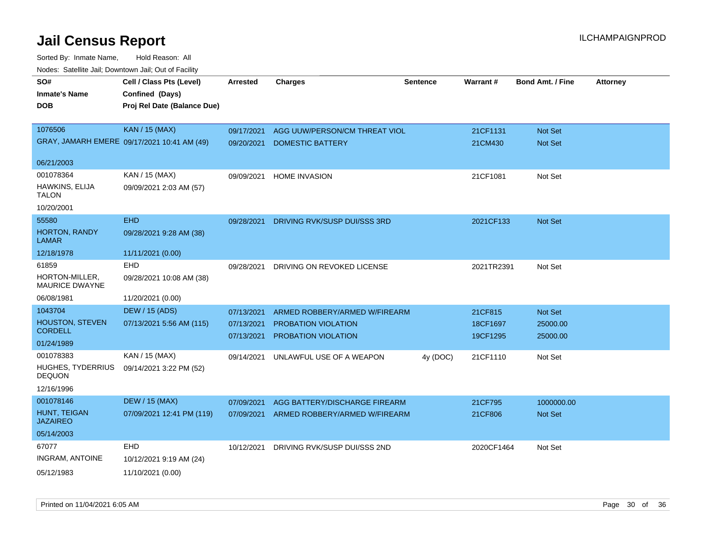| SO#<br><b>Inmate's Name</b><br><b>DOB</b> | Cell / Class Pts (Level)<br>Confined (Days)<br>Proj Rel Date (Balance Due) | <b>Arrested</b> | <b>Charges</b>                | <b>Sentence</b> | Warrant#   | <b>Bond Amt. / Fine</b> | <b>Attorney</b> |
|-------------------------------------------|----------------------------------------------------------------------------|-----------------|-------------------------------|-----------------|------------|-------------------------|-----------------|
| 1076506                                   | <b>KAN / 15 (MAX)</b>                                                      | 09/17/2021      | AGG UUW/PERSON/CM THREAT VIOL |                 | 21CF1131   | <b>Not Set</b>          |                 |
|                                           | GRAY, JAMARH EMERE 09/17/2021 10:41 AM (49)                                | 09/20/2021      | <b>DOMESTIC BATTERY</b>       |                 | 21CM430    | Not Set                 |                 |
| 06/21/2003                                |                                                                            |                 |                               |                 |            |                         |                 |
| 001078364                                 | KAN / 15 (MAX)                                                             | 09/09/2021      | <b>HOME INVASION</b>          |                 | 21CF1081   | Not Set                 |                 |
| HAWKINS, ELIJA<br><b>TALON</b>            | 09/09/2021 2:03 AM (57)                                                    |                 |                               |                 |            |                         |                 |
| 10/20/2001                                |                                                                            |                 |                               |                 |            |                         |                 |
| 55580                                     | <b>EHD</b>                                                                 | 09/28/2021      | DRIVING RVK/SUSP DUI/SSS 3RD  |                 | 2021CF133  | Not Set                 |                 |
| <b>HORTON, RANDY</b><br><b>LAMAR</b>      | 09/28/2021 9:28 AM (38)                                                    |                 |                               |                 |            |                         |                 |
| 12/18/1978                                | 11/11/2021 (0.00)                                                          |                 |                               |                 |            |                         |                 |
| 61859                                     | EHD                                                                        | 09/28/2021      | DRIVING ON REVOKED LICENSE    |                 | 2021TR2391 | Not Set                 |                 |
| HORTON-MILLER,<br><b>MAURICE DWAYNE</b>   | 09/28/2021 10:08 AM (38)                                                   |                 |                               |                 |            |                         |                 |
| 06/08/1981                                | 11/20/2021 (0.00)                                                          |                 |                               |                 |            |                         |                 |
| 1043704                                   | <b>DEW / 15 (ADS)</b>                                                      | 07/13/2021      | ARMED ROBBERY/ARMED W/FIREARM |                 | 21CF815    | Not Set                 |                 |
| <b>HOUSTON, STEVEN</b><br><b>CORDELL</b>  | 07/13/2021 5:56 AM (115)                                                   | 07/13/2021      | PROBATION VIOLATION           |                 | 18CF1697   | 25000.00                |                 |
| 01/24/1989                                |                                                                            | 07/13/2021      | PROBATION VIOLATION           |                 | 19CF1295   | 25000.00                |                 |
| 001078383                                 | KAN / 15 (MAX)                                                             |                 |                               |                 |            |                         |                 |
| <b>HUGHES, TYDERRIUS</b><br><b>DEQUON</b> | 09/14/2021 3:22 PM (52)                                                    | 09/14/2021      | UNLAWFUL USE OF A WEAPON      | 4y (DOC)        | 21CF1110   | Not Set                 |                 |
| 12/16/1996                                |                                                                            |                 |                               |                 |            |                         |                 |
| 001078146                                 | <b>DEW / 15 (MAX)</b>                                                      | 07/09/2021      | AGG BATTERY/DISCHARGE FIREARM |                 | 21CF795    | 1000000.00              |                 |
| HUNT, TEIGAN<br><b>JAZAIREO</b>           | 07/09/2021 12:41 PM (119)                                                  | 07/09/2021      | ARMED ROBBERY/ARMED W/FIREARM |                 | 21CF806    | Not Set                 |                 |
| 05/14/2003                                |                                                                            |                 |                               |                 |            |                         |                 |
| 67077                                     | <b>EHD</b>                                                                 | 10/12/2021      | DRIVING RVK/SUSP DUI/SSS 2ND  |                 | 2020CF1464 | Not Set                 |                 |
| <b>INGRAM, ANTOINE</b>                    | 10/12/2021 9:19 AM (24)                                                    |                 |                               |                 |            |                         |                 |
| 05/12/1983                                | 11/10/2021 (0.00)                                                          |                 |                               |                 |            |                         |                 |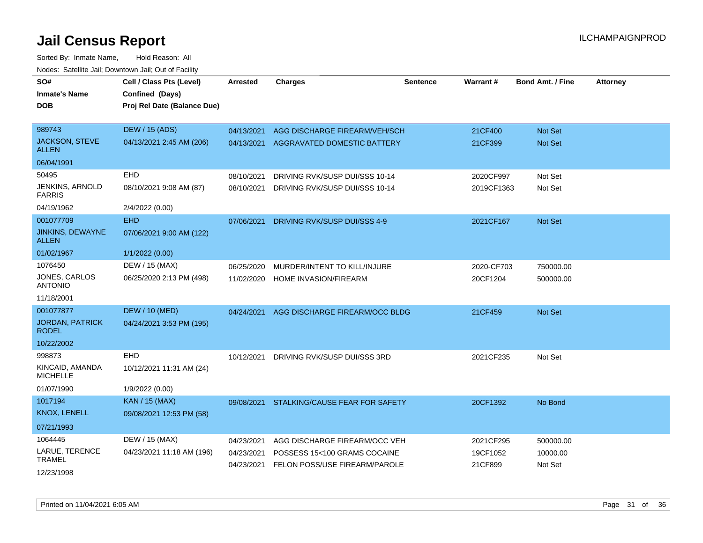| SO#<br><b>Inmate's Name</b><br><b>DOB</b>                          | Cell / Class Pts (Level)<br>Confined (Days)<br>Proj Rel Date (Balance Due) | <b>Arrested</b>          | <b>Charges</b>                                                   | Sentence | Warrant#                | <b>Bond Amt. / Fine</b>          | <b>Attorney</b> |
|--------------------------------------------------------------------|----------------------------------------------------------------------------|--------------------------|------------------------------------------------------------------|----------|-------------------------|----------------------------------|-----------------|
| 989743<br><b>JACKSON, STEVE</b><br><b>ALLEN</b>                    | <b>DEW / 15 (ADS)</b><br>04/13/2021 2:45 AM (206)                          | 04/13/2021<br>04/13/2021 | AGG DISCHARGE FIREARM/VEH/SCH<br>AGGRAVATED DOMESTIC BATTERY     |          | 21CF400<br>21CF399      | <b>Not Set</b><br><b>Not Set</b> |                 |
| 06/04/1991                                                         |                                                                            |                          |                                                                  |          |                         |                                  |                 |
| EHD<br>50495<br>JENKINS, ARNOLD<br><b>FARRIS</b>                   | 08/10/2021 9:08 AM (87)                                                    | 08/10/2021<br>08/10/2021 | DRIVING RVK/SUSP DUI/SSS 10-14<br>DRIVING RVK/SUSP DUI/SSS 10-14 |          | 2020CF997<br>2019CF1363 | Not Set<br>Not Set               |                 |
| 04/19/1962                                                         | 2/4/2022 (0.00)                                                            |                          |                                                                  |          |                         |                                  |                 |
| 001077709<br><b>EHD</b><br><b>JINKINS, DEWAYNE</b><br><b>ALLEN</b> | 07/06/2021 9:00 AM (122)                                                   | 07/06/2021               | DRIVING RVK/SUSP DUI/SSS 4-9                                     |          | 2021CF167               | Not Set                          |                 |
| 01/02/1967                                                         | 1/1/2022 (0.00)                                                            |                          |                                                                  |          |                         |                                  |                 |
| 1076450                                                            | DEW / 15 (MAX)                                                             | 06/25/2020               | MURDER/INTENT TO KILL/INJURE                                     |          | 2020-CF703              | 750000.00                        |                 |
| JONES, CARLOS<br><b>ANTONIO</b>                                    | 06/25/2020 2:13 PM (498)                                                   | 11/02/2020               | HOME INVASION/FIREARM                                            |          | 20CF1204                | 500000.00                        |                 |
| 11/18/2001                                                         |                                                                            |                          |                                                                  |          |                         |                                  |                 |
| 001077877<br><b>JORDAN, PATRICK</b><br><b>RODEL</b><br>10/22/2002  | <b>DEW / 10 (MED)</b><br>04/24/2021 3:53 PM (195)                          | 04/24/2021               | AGG DISCHARGE FIREARM/OCC BLDG                                   |          | 21CF459                 | Not Set                          |                 |
| 998873<br><b>EHD</b>                                               |                                                                            | 10/12/2021               | DRIVING RVK/SUSP DUI/SSS 3RD                                     |          | 2021CF235               | Not Set                          |                 |
| KINCAID, AMANDA<br><b>MICHELLE</b>                                 | 10/12/2021 11:31 AM (24)                                                   |                          |                                                                  |          |                         |                                  |                 |
| 01/07/1990                                                         | 1/9/2022 (0.00)                                                            |                          |                                                                  |          |                         |                                  |                 |
| 1017194                                                            | KAN / 15 (MAX)                                                             | 09/08/2021               | STALKING/CAUSE FEAR FOR SAFETY                                   |          | 20CF1392                | No Bond                          |                 |
| KNOX, LENELL                                                       | 09/08/2021 12:53 PM (58)                                                   |                          |                                                                  |          |                         |                                  |                 |
| 07/21/1993                                                         |                                                                            |                          |                                                                  |          |                         |                                  |                 |
| 1064445                                                            | DEW / 15 (MAX)                                                             | 04/23/2021               | AGG DISCHARGE FIREARM/OCC VEH                                    |          | 2021CF295               | 500000.00                        |                 |
| LARUE, TERENCE<br><b>TRAMEL</b><br>12/23/1998                      | 04/23/2021 11:18 AM (196)                                                  | 04/23/2021<br>04/23/2021 | POSSESS 15<100 GRAMS COCAINE<br>FELON POSS/USE FIREARM/PAROLE    |          | 19CF1052<br>21CF899     | 10000.00<br>Not Set              |                 |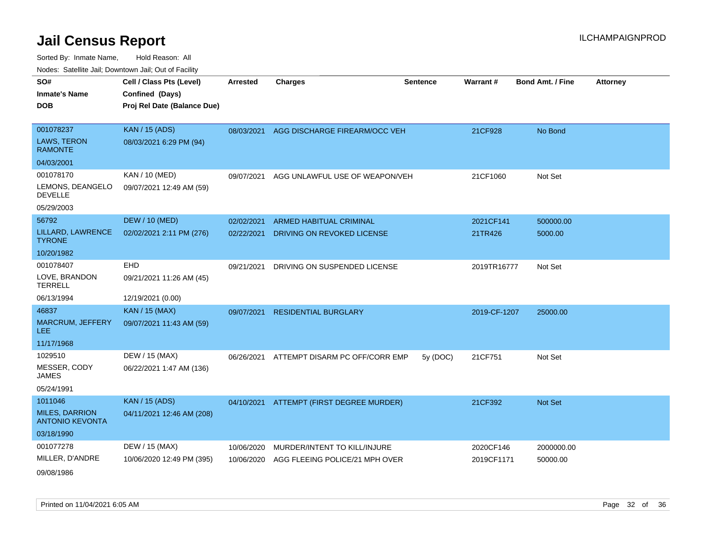| roaco. Catolino cali, Domntonn cali, Out of Facility |                             |            |                                          |                 |              |                         |                 |
|------------------------------------------------------|-----------------------------|------------|------------------------------------------|-----------------|--------------|-------------------------|-----------------|
| SO#                                                  | Cell / Class Pts (Level)    | Arrested   | <b>Charges</b>                           | <b>Sentence</b> | Warrant#     | <b>Bond Amt. / Fine</b> | <b>Attorney</b> |
| <b>Inmate's Name</b>                                 | Confined (Days)             |            |                                          |                 |              |                         |                 |
| <b>DOB</b>                                           | Proj Rel Date (Balance Due) |            |                                          |                 |              |                         |                 |
|                                                      |                             |            |                                          |                 |              |                         |                 |
| 001078237                                            | <b>KAN / 15 (ADS)</b>       | 08/03/2021 | AGG DISCHARGE FIREARM/OCC VEH            |                 | 21CF928      | No Bond                 |                 |
| LAWS, TERON<br><b>RAMONTE</b>                        | 08/03/2021 6:29 PM (94)     |            |                                          |                 |              |                         |                 |
| 04/03/2001                                           |                             |            |                                          |                 |              |                         |                 |
| 001078170                                            | KAN / 10 (MED)              | 09/07/2021 | AGG UNLAWFUL USE OF WEAPON/VEH           |                 | 21CF1060     | Not Set                 |                 |
| LEMONS, DEANGELO<br><b>DEVELLE</b>                   | 09/07/2021 12:49 AM (59)    |            |                                          |                 |              |                         |                 |
| 05/29/2003                                           |                             |            |                                          |                 |              |                         |                 |
| 56792                                                | <b>DEW / 10 (MED)</b>       | 02/02/2021 | ARMED HABITUAL CRIMINAL                  |                 | 2021CF141    | 500000.00               |                 |
| LILLARD, LAWRENCE<br><b>TYRONE</b>                   | 02/02/2021 2:11 PM (276)    | 02/22/2021 | DRIVING ON REVOKED LICENSE               |                 | 21TR426      | 5000.00                 |                 |
| 10/20/1982                                           |                             |            |                                          |                 |              |                         |                 |
| 001078407                                            | EHD                         | 09/21/2021 | DRIVING ON SUSPENDED LICENSE             |                 | 2019TR16777  | Not Set                 |                 |
| LOVE, BRANDON<br><b>TERRELL</b>                      | 09/21/2021 11:26 AM (45)    |            |                                          |                 |              |                         |                 |
| 06/13/1994                                           | 12/19/2021 (0.00)           |            |                                          |                 |              |                         |                 |
| 46837                                                | KAN / 15 (MAX)              | 09/07/2021 | <b>RESIDENTIAL BURGLARY</b>              |                 | 2019-CF-1207 | 25000.00                |                 |
| <b>MARCRUM, JEFFERY</b><br><b>LEE</b>                | 09/07/2021 11:43 AM (59)    |            |                                          |                 |              |                         |                 |
| 11/17/1968                                           |                             |            |                                          |                 |              |                         |                 |
| 1029510                                              | DEW / 15 (MAX)              | 06/26/2021 | ATTEMPT DISARM PC OFF/CORR EMP           | 5y(DOC)         | 21CF751      | Not Set                 |                 |
| MESSER, CODY<br><b>JAMES</b>                         | 06/22/2021 1:47 AM (136)    |            |                                          |                 |              |                         |                 |
| 05/24/1991                                           |                             |            |                                          |                 |              |                         |                 |
| 1011046                                              | <b>KAN</b> / 15 (ADS)       |            | 04/10/2021 ATTEMPT (FIRST DEGREE MURDER) |                 | 21CF392      | Not Set                 |                 |
| <b>MILES, DARRION</b><br><b>ANTONIO KEVONTA</b>      | 04/11/2021 12:46 AM (208)   |            |                                          |                 |              |                         |                 |
| 03/18/1990                                           |                             |            |                                          |                 |              |                         |                 |
| 001077278                                            | DEW / 15 (MAX)              | 10/06/2020 | MURDER/INTENT TO KILL/INJURE             |                 | 2020CF146    | 2000000.00              |                 |
| MILLER, D'ANDRE                                      | 10/06/2020 12:49 PM (395)   | 10/06/2020 | AGG FLEEING POLICE/21 MPH OVER           |                 | 2019CF1171   | 50000.00                |                 |
| 09/08/1986                                           |                             |            |                                          |                 |              |                         |                 |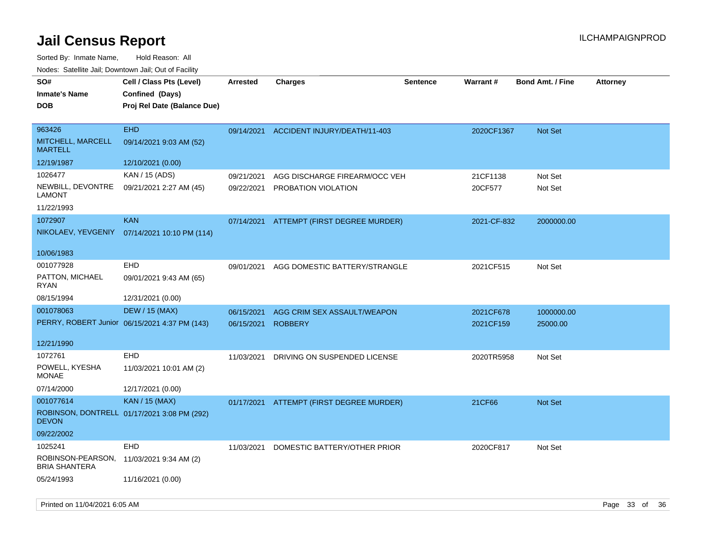| roaco. Calcinio dan, Downtown dan, Oal or Fability          |                                                                            |                          |                                                      |                 |                        |                         |                 |
|-------------------------------------------------------------|----------------------------------------------------------------------------|--------------------------|------------------------------------------------------|-----------------|------------------------|-------------------------|-----------------|
| SO#<br><b>Inmate's Name</b><br><b>DOB</b>                   | Cell / Class Pts (Level)<br>Confined (Days)<br>Proj Rel Date (Balance Due) | <b>Arrested</b>          | <b>Charges</b>                                       | <b>Sentence</b> | <b>Warrant#</b>        | <b>Bond Amt. / Fine</b> | <b>Attorney</b> |
| 963426<br>MITCHELL, MARCELL<br><b>MARTELL</b>               | <b>EHD</b><br>09/14/2021 9:03 AM (52)                                      | 09/14/2021               | ACCIDENT INJURY/DEATH/11-403                         |                 | 2020CF1367             | <b>Not Set</b>          |                 |
| 12/19/1987                                                  | 12/10/2021 (0.00)                                                          |                          |                                                      |                 |                        |                         |                 |
| 1026477<br>NEWBILL, DEVONTRE<br>LAMONT                      | KAN / 15 (ADS)<br>09/21/2021 2:27 AM (45)                                  | 09/21/2021<br>09/22/2021 | AGG DISCHARGE FIREARM/OCC VEH<br>PROBATION VIOLATION |                 | 21CF1138<br>20CF577    | Not Set<br>Not Set      |                 |
| 11/22/1993                                                  |                                                                            |                          |                                                      |                 |                        |                         |                 |
| 1072907<br>NIKOLAEV, YEVGENIY                               | <b>KAN</b><br>07/14/2021 10:10 PM (114)                                    | 07/14/2021               | ATTEMPT (FIRST DEGREE MURDER)                        |                 | 2021-CF-832            | 2000000.00              |                 |
| 10/06/1983                                                  |                                                                            |                          |                                                      |                 |                        |                         |                 |
| 001077928<br>PATTON, MICHAEL<br>RYAN                        | EHD<br>09/01/2021 9:43 AM (65)                                             | 09/01/2021               | AGG DOMESTIC BATTERY/STRANGLE                        |                 | 2021CF515              | Not Set                 |                 |
| 08/15/1994                                                  | 12/31/2021 (0.00)                                                          |                          |                                                      |                 |                        |                         |                 |
| 001078063                                                   | <b>DEW / 15 (MAX)</b><br>PERRY, ROBERT Junior 06/15/2021 4:37 PM (143)     | 06/15/2021<br>06/15/2021 | AGG CRIM SEX ASSAULT/WEAPON<br><b>ROBBERY</b>        |                 | 2021CF678<br>2021CF159 | 1000000.00<br>25000.00  |                 |
| 12/21/1990                                                  |                                                                            |                          |                                                      |                 |                        |                         |                 |
| 1072761<br>POWELL, KYESHA<br>MONAE<br>07/14/2000            | <b>EHD</b><br>11/03/2021 10:01 AM (2)<br>12/17/2021 (0.00)                 | 11/03/2021               | DRIVING ON SUSPENDED LICENSE                         |                 | 2020TR5958             | Not Set                 |                 |
| 001077614<br><b>DEVON</b><br>09/22/2002                     | <b>KAN / 15 (MAX)</b><br>ROBINSON, DONTRELL 01/17/2021 3:08 PM (292)       |                          | 01/17/2021 ATTEMPT (FIRST DEGREE MURDER)             |                 | 21CF66                 | <b>Not Set</b>          |                 |
| 1025241<br>ROBINSON-PEARSON,<br>BRIA SHANTERA<br>05/24/1993 | <b>EHD</b><br>11/03/2021 9:34 AM (2)<br>11/16/2021 (0.00)                  | 11/03/2021               | DOMESTIC BATTERY/OTHER PRIOR                         |                 | 2020CF817              | Not Set                 |                 |
|                                                             |                                                                            |                          |                                                      |                 |                        |                         |                 |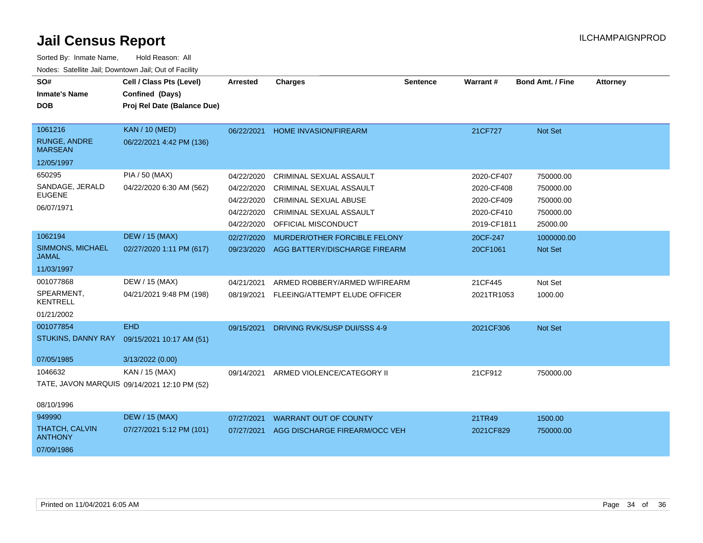| SO#                                     | Cell / Class Pts (Level)                     | <b>Arrested</b> | <b>Charges</b>                 | <b>Sentence</b> | <b>Warrant#</b> | <b>Bond Amt. / Fine</b> | <b>Attorney</b> |
|-----------------------------------------|----------------------------------------------|-----------------|--------------------------------|-----------------|-----------------|-------------------------|-----------------|
| <b>Inmate's Name</b>                    | Confined (Days)                              |                 |                                |                 |                 |                         |                 |
| <b>DOB</b>                              | Proj Rel Date (Balance Due)                  |                 |                                |                 |                 |                         |                 |
|                                         |                                              |                 |                                |                 |                 |                         |                 |
| 1061216                                 | <b>KAN / 10 (MED)</b>                        | 06/22/2021      | <b>HOME INVASION/FIREARM</b>   |                 | 21CF727         | Not Set                 |                 |
| <b>RUNGE, ANDRE</b><br><b>MARSEAN</b>   | 06/22/2021 4:42 PM (136)                     |                 |                                |                 |                 |                         |                 |
| 12/05/1997                              |                                              |                 |                                |                 |                 |                         |                 |
| 650295                                  | PIA / 50 (MAX)                               | 04/22/2020      | CRIMINAL SEXUAL ASSAULT        |                 | 2020-CF407      | 750000.00               |                 |
| SANDAGE, JERALD                         | 04/22/2020 6:30 AM (562)                     | 04/22/2020      | <b>CRIMINAL SEXUAL ASSAULT</b> |                 | 2020-CF408      | 750000.00               |                 |
| <b>EUGENE</b>                           |                                              | 04/22/2020      | <b>CRIMINAL SEXUAL ABUSE</b>   |                 | 2020-CF409      | 750000.00               |                 |
| 06/07/1971                              |                                              | 04/22/2020      | CRIMINAL SEXUAL ASSAULT        |                 | 2020-CF410      | 750000.00               |                 |
|                                         |                                              | 04/22/2020      | <b>OFFICIAL MISCONDUCT</b>     |                 | 2019-CF1811     | 25000.00                |                 |
| 1062194                                 | <b>DEW / 15 (MAX)</b>                        | 02/27/2020      | MURDER/OTHER FORCIBLE FELONY   |                 | 20CF-247        | 1000000.00              |                 |
| <b>SIMMONS, MICHAEL</b><br>JAMAL        | 02/27/2020 1:11 PM (617)                     | 09/23/2020      | AGG BATTERY/DISCHARGE FIREARM  |                 | 20CF1061        | Not Set                 |                 |
| 11/03/1997                              |                                              |                 |                                |                 |                 |                         |                 |
| 001077868                               | DEW / 15 (MAX)                               | 04/21/2021      | ARMED ROBBERY/ARMED W/FIREARM  |                 | 21CF445         | Not Set                 |                 |
| SPEARMENT,<br><b>KENTRELL</b>           | 04/21/2021 9:48 PM (198)                     | 08/19/2021      | FLEEING/ATTEMPT ELUDE OFFICER  |                 | 2021TR1053      | 1000.00                 |                 |
| 01/21/2002                              |                                              |                 |                                |                 |                 |                         |                 |
| 001077854                               | <b>EHD</b>                                   | 09/15/2021      | DRIVING RVK/SUSP DUI/SSS 4-9   |                 | 2021CF306       | Not Set                 |                 |
| STUKINS, DANNY RAY                      | 09/15/2021 10:17 AM (51)                     |                 |                                |                 |                 |                         |                 |
|                                         |                                              |                 |                                |                 |                 |                         |                 |
| 07/05/1985                              | 3/13/2022 (0.00)                             |                 |                                |                 |                 |                         |                 |
| 1046632                                 | KAN / 15 (MAX)                               | 09/14/2021      | ARMED VIOLENCE/CATEGORY II     |                 | 21CF912         | 750000.00               |                 |
|                                         | TATE, JAVON MARQUIS 09/14/2021 12:10 PM (52) |                 |                                |                 |                 |                         |                 |
| 08/10/1996                              |                                              |                 |                                |                 |                 |                         |                 |
| 949990                                  | <b>DEW / 15 (MAX)</b>                        | 07/27/2021      | <b>WARRANT OUT OF COUNTY</b>   |                 | 21TR49          | 1500.00                 |                 |
| <b>THATCH, CALVIN</b><br><b>ANTHONY</b> | 07/27/2021 5:12 PM (101)                     | 07/27/2021      | AGG DISCHARGE FIREARM/OCC VEH  |                 | 2021CF829       | 750000.00               |                 |
| 07/09/1986                              |                                              |                 |                                |                 |                 |                         |                 |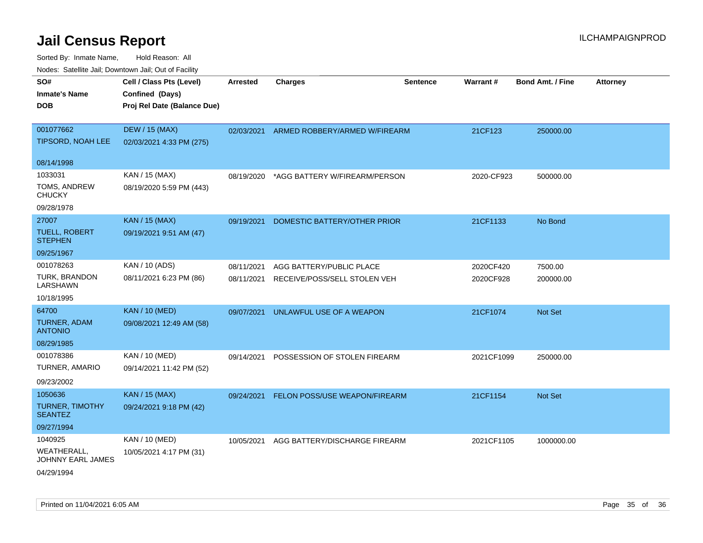| rouce. Calcinic Jan, Downtown Jan, Out of Facility |                                             |                 |                               |                 |            |                         |                 |
|----------------------------------------------------|---------------------------------------------|-----------------|-------------------------------|-----------------|------------|-------------------------|-----------------|
| SO#<br><b>Inmate's Name</b>                        | Cell / Class Pts (Level)<br>Confined (Days) | <b>Arrested</b> | <b>Charges</b>                | <b>Sentence</b> | Warrant#   | <b>Bond Amt. / Fine</b> | <b>Attorney</b> |
| <b>DOB</b>                                         | Proj Rel Date (Balance Due)                 |                 |                               |                 |            |                         |                 |
|                                                    |                                             |                 |                               |                 |            |                         |                 |
| 001077662                                          | <b>DEW / 15 (MAX)</b>                       | 02/03/2021      | ARMED ROBBERY/ARMED W/FIREARM |                 | 21CF123    | 250000.00               |                 |
| <b>TIPSORD, NOAH LEE</b>                           | 02/03/2021 4:33 PM (275)                    |                 |                               |                 |            |                         |                 |
| 08/14/1998                                         |                                             |                 |                               |                 |            |                         |                 |
| 1033031                                            | KAN / 15 (MAX)                              | 08/19/2020      | *AGG BATTERY W/FIREARM/PERSON |                 | 2020-CF923 | 500000.00               |                 |
| TOMS, ANDREW<br><b>CHUCKY</b>                      | 08/19/2020 5:59 PM (443)                    |                 |                               |                 |            |                         |                 |
| 09/28/1978                                         |                                             |                 |                               |                 |            |                         |                 |
| 27007                                              | <b>KAN / 15 (MAX)</b>                       | 09/19/2021      | DOMESTIC BATTERY/OTHER PRIOR  |                 | 21CF1133   | No Bond                 |                 |
| <b>TUELL, ROBERT</b><br><b>STEPHEN</b>             | 09/19/2021 9:51 AM (47)                     |                 |                               |                 |            |                         |                 |
| 09/25/1967                                         |                                             |                 |                               |                 |            |                         |                 |
| 001078263                                          | KAN / 10 (ADS)                              | 08/11/2021      | AGG BATTERY/PUBLIC PLACE      |                 | 2020CF420  | 7500.00                 |                 |
| <b>TURK, BRANDON</b><br>LARSHAWN                   | 08/11/2021 6:23 PM (86)                     | 08/11/2021      | RECEIVE/POSS/SELL STOLEN VEH  |                 | 2020CF928  | 200000.00               |                 |
| 10/18/1995                                         |                                             |                 |                               |                 |            |                         |                 |
| 64700                                              | <b>KAN / 10 (MED)</b>                       | 09/07/2021      | UNLAWFUL USE OF A WEAPON      |                 | 21CF1074   | <b>Not Set</b>          |                 |
| <b>TURNER, ADAM</b><br><b>ANTONIO</b>              | 09/08/2021 12:49 AM (58)                    |                 |                               |                 |            |                         |                 |
| 08/29/1985                                         |                                             |                 |                               |                 |            |                         |                 |
| 001078386                                          | KAN / 10 (MED)                              | 09/14/2021      | POSSESSION OF STOLEN FIREARM  |                 | 2021CF1099 | 250000.00               |                 |
| TURNER, AMARIO                                     | 09/14/2021 11:42 PM (52)                    |                 |                               |                 |            |                         |                 |
| 09/23/2002                                         |                                             |                 |                               |                 |            |                         |                 |
| 1050636                                            | KAN / 15 (MAX)                              | 09/24/2021      | FELON POSS/USE WEAPON/FIREARM |                 | 21CF1154   | <b>Not Set</b>          |                 |
| <b>TURNER, TIMOTHY</b><br><b>SEANTEZ</b>           | 09/24/2021 9:18 PM (42)                     |                 |                               |                 |            |                         |                 |
| 09/27/1994                                         |                                             |                 |                               |                 |            |                         |                 |
| 1040925                                            | KAN / 10 (MED)                              | 10/05/2021      | AGG BATTERY/DISCHARGE FIREARM |                 | 2021CF1105 | 1000000.00              |                 |
| WEATHERALL,<br>JOHNNY EARL JAMES                   | 10/05/2021 4:17 PM (31)                     |                 |                               |                 |            |                         |                 |
| 04/29/1994                                         |                                             |                 |                               |                 |            |                         |                 |